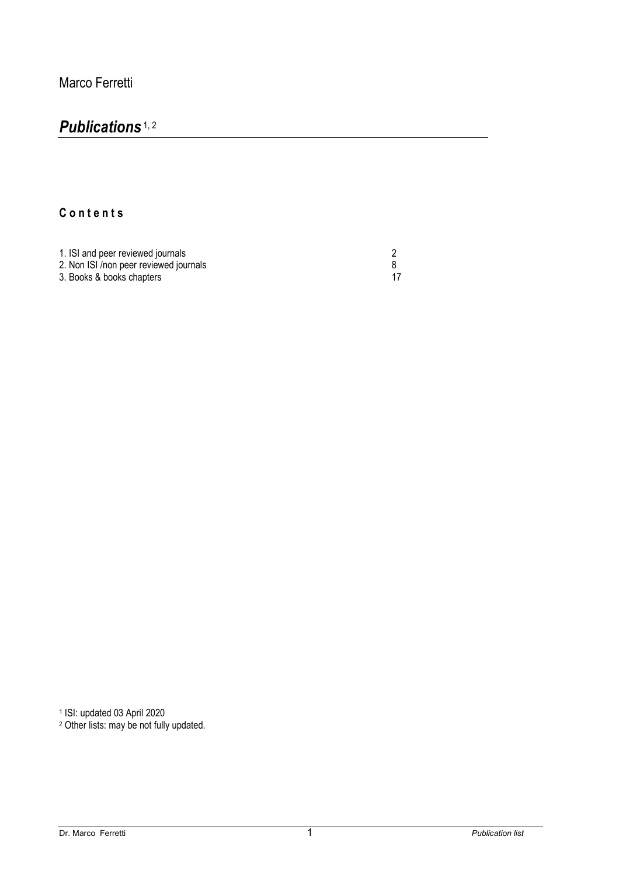## *Publications* 1, 2

## **C o n t e n t s**

| 1. ISI and peer reviewed journals      |  |
|----------------------------------------|--|
| 2. Non ISI /non peer reviewed journals |  |
| 3. Books & books chapters              |  |

<sup>1</sup> ISI: updated 03 April 2020

<sup>2</sup> Other lists: may be not fully updated.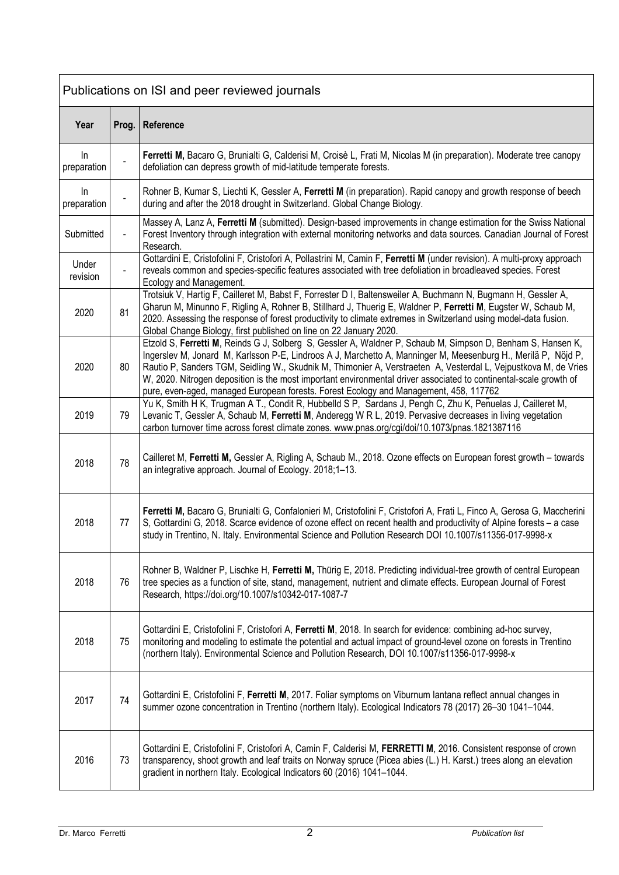| Publications on ISI and peer reviewed journals |                |                                                                                                                                                                                                                                                                                                                                                                                                                                                                                                                                                               |
|------------------------------------------------|----------------|---------------------------------------------------------------------------------------------------------------------------------------------------------------------------------------------------------------------------------------------------------------------------------------------------------------------------------------------------------------------------------------------------------------------------------------------------------------------------------------------------------------------------------------------------------------|
| Year                                           | Prog.          | Reference                                                                                                                                                                                                                                                                                                                                                                                                                                                                                                                                                     |
| In<br>preparation                              |                | Ferretti M, Bacaro G, Brunialti G, Calderisi M, Croisè L, Frati M, Nicolas M (in preparation). Moderate tree canopy<br>defoliation can depress growth of mid-latitude temperate forests.                                                                                                                                                                                                                                                                                                                                                                      |
| In<br>preparation                              |                | Rohner B, Kumar S, Liechti K, Gessler A, Ferretti M (in preparation). Rapid canopy and growth response of beech<br>during and after the 2018 drought in Switzerland. Global Change Biology.                                                                                                                                                                                                                                                                                                                                                                   |
| Submitted                                      | $\blacksquare$ | Massey A, Lanz A, Ferretti M (submitted). Design-based improvements in change estimation for the Swiss National<br>Forest Inventory through integration with external monitoring networks and data sources. Canadian Journal of Forest<br>Research.                                                                                                                                                                                                                                                                                                           |
| Under<br>revision                              |                | Gottardini E, Cristofolini F, Cristofori A, Pollastrini M, Camin F, Ferretti M (under revision). A multi-proxy approach<br>reveals common and species-specific features associated with tree defoliation in broadleaved species. Forest<br>Ecology and Management.                                                                                                                                                                                                                                                                                            |
| 2020                                           | 81             | Trotsiuk V, Hartig F, Cailleret M, Babst F, Forrester D I, Baltensweiler A, Buchmann N, Bugmann H, Gessler A,<br>Gharun M, Minunno F, Rigling A, Rohner B, Stillhard J, Thuerig E, Waldner P, Ferretti M, Eugster W, Schaub M,<br>2020. Assessing the response of forest productivity to climate extremes in Switzerland using model-data fusion.<br>Global Change Biology, first published on line on 22 January 2020.                                                                                                                                       |
| 2020                                           | 80             | Etzold S, Ferretti M, Reinds G J, Solberg S, Gessler A, Waldner P, Schaub M, Simpson D, Benham S, Hansen K,<br>Ingerslev M, Jonard M, Karlsson P-E, Lindroos A J, Marchetto A, Manninger M, Meesenburg H., Merilä P, Nöjd P,<br>Rautio P, Sanders TGM, Seidling W., Skudnik M, Thimonier A, Verstraeten A, Vesterdal L, Vejpustkova M, de Vries<br>W, 2020. Nitrogen deposition is the most important environmental driver associated to continental-scale growth of<br>pure, even-aged, managed European forests. Forest Ecology and Management, 458, 117762 |
| 2019                                           | 79             | Yu K, Smith H K, Trugman A T., Condit R, Hubbelld S P, Sardans J, Pengh C, Zhu K, Penuelas J, Cailleret M,<br>Levanic T, Gessler A, Schaub M, Ferretti M, Anderegg W R L, 2019. Pervasive decreases in living vegetation<br>carbon turnover time across forest climate zones. www.pnas.org/cgi/doi/10.1073/pnas.1821387116                                                                                                                                                                                                                                    |
| 2018                                           | 78             | Cailleret M, Ferretti M, Gessler A, Rigling A, Schaub M., 2018. Ozone effects on European forest growth - towards<br>an integrative approach. Journal of Ecology. 2018;1-13.                                                                                                                                                                                                                                                                                                                                                                                  |
| 2018                                           | 77             | Ferretti M, Bacaro G, Brunialti G, Confalonieri M, Cristofolini F, Cristofori A, Frati L, Finco A, Gerosa G, Maccherini<br>S, Gottardini G, 2018. Scarce evidence of ozone effect on recent health and productivity of Alpine forests – a case<br>study in Trentino, N. Italy. Environmental Science and Pollution Research DOI 10.1007/s11356-017-9998-x                                                                                                                                                                                                     |
| 2018                                           | 76             | Rohner B, Waldner P, Lischke H, Ferretti M, Thürig E, 2018. Predicting individual-tree growth of central European<br>tree species as a function of site, stand, management, nutrient and climate effects. European Journal of Forest<br>Research, https://doi.org/10.1007/s10342-017-1087-7                                                                                                                                                                                                                                                                   |
| 2018                                           | 75             | Gottardini E, Cristofolini F, Cristofori A, Ferretti M, 2018. In search for evidence: combining ad-hoc survey,<br>monitoring and modeling to estimate the potential and actual impact of ground-level ozone on forests in Trentino<br>(northern Italy). Environmental Science and Pollution Research, DOI 10.1007/s11356-017-9998-x                                                                                                                                                                                                                           |
| 2017                                           | 74             | Gottardini E, Cristofolini F, Ferretti M, 2017. Foliar symptoms on Viburnum lantana reflect annual changes in<br>summer ozone concentration in Trentino (northern Italy). Ecological Indicators 78 (2017) 26-30 1041-1044.                                                                                                                                                                                                                                                                                                                                    |
| 2016                                           | 73             | Gottardini E, Cristofolini F, Cristofori A, Camin F, Calderisi M, FERRETTI M, 2016. Consistent response of crown<br>transparency, shoot growth and leaf traits on Norway spruce (Picea abies (L.) H. Karst.) trees along an elevation<br>gradient in northern Italy. Ecological Indicators 60 (2016) 1041-1044.                                                                                                                                                                                                                                               |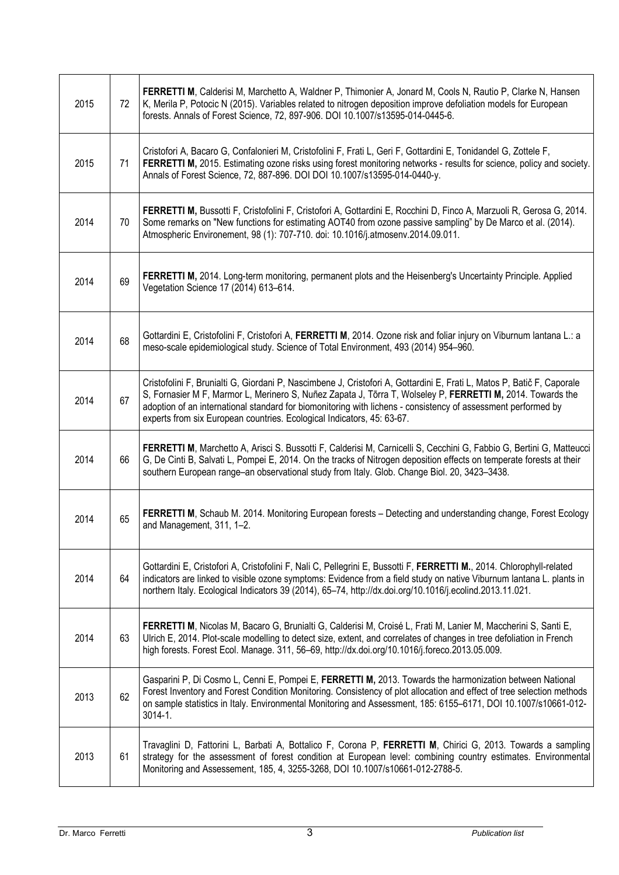| 2015 | 72 | FERRETTI M, Calderisi M, Marchetto A, Waldner P, Thimonier A, Jonard M, Cools N, Rautio P, Clarke N, Hansen<br>K, Merila P, Potocic N (2015). Variables related to nitrogen deposition improve defoliation models for European<br>forests. Annals of Forest Science, 72, 897-906. DOI 10.1007/s13595-014-0445-6.                                                                                                                |
|------|----|---------------------------------------------------------------------------------------------------------------------------------------------------------------------------------------------------------------------------------------------------------------------------------------------------------------------------------------------------------------------------------------------------------------------------------|
| 2015 | 71 | Cristofori A, Bacaro G, Confalonieri M, Cristofolini F, Frati L, Geri F, Gottardini E, Tonidandel G, Zottele F,<br>FERRETTI M, 2015. Estimating ozone risks using forest monitoring networks - results for science, policy and society.<br>Annals of Forest Science, 72, 887-896. DOI DOI 10.1007/s13595-014-0440-y.                                                                                                            |
| 2014 | 70 | FERRETTI M, Bussotti F, Cristofolini F, Cristofori A, Gottardini E, Rocchini D, Finco A, Marzuoli R, Gerosa G, 2014.<br>Some remarks on "New functions for estimating AOT40 from ozone passive sampling" by De Marco et al. (2014).<br>Atmospheric Environement, 98 (1): 707-710. doi: 10.1016/j.atmosenv.2014.09.011.                                                                                                          |
| 2014 | 69 | FERRETTI M, 2014. Long-term monitoring, permanent plots and the Heisenberg's Uncertainty Principle. Applied<br>Vegetation Science 17 (2014) 613-614.                                                                                                                                                                                                                                                                            |
| 2014 | 68 | Gottardini E, Cristofolini F, Cristofori A, FERRETTI M, 2014. Ozone risk and foliar injury on Viburnum lantana L.: a<br>meso-scale epidemiological study. Science of Total Environment, 493 (2014) 954–960.                                                                                                                                                                                                                     |
| 2014 | 67 | Cristofolini F, Brunialti G, Giordani P, Nascimbene J, Cristofori A, Gottardini E, Frati L, Matos P, Batič F, Caporale<br>S, Fornasier M F, Marmor L, Merinero S, Nuñez Zapata J, Tõrra T, Wolseley P, FERRETTI M, 2014. Towards the<br>adoption of an international standard for biomonitoring with lichens - consistency of assessment performed by<br>experts from six European countries. Ecological Indicators, 45: 63-67. |
| 2014 | 66 | FERRETTI M, Marchetto A, Arisci S. Bussotti F, Calderisi M, Carnicelli S, Cecchini G, Fabbio G, Bertini G, Matteucci<br>G, De Cinti B, Salvati L, Pompei E, 2014. On the tracks of Nitrogen deposition effects on temperate forests at their<br>southern European range-an observational study from Italy. Glob. Change Biol. 20, 3423-3438.                                                                                    |
| 2014 | 65 | FERRETTI M, Schaub M. 2014. Monitoring European forests - Detecting and understanding change, Forest Ecology<br>and Management, 311, 1-2.                                                                                                                                                                                                                                                                                       |
| 2014 | 64 | Gottardini E, Cristofori A, Cristofolini F, Nali C, Pellegrini E, Bussotti F, FERRETTI M., 2014. Chlorophyll-related<br>indicators are linked to visible ozone symptoms: Evidence from a field study on native Viburnum lantana L. plants in<br>northern Italy. Ecological Indicators 39 (2014), 65-74, http://dx.doi.org/10.1016/j.ecolind.2013.11.021.                                                                        |
| 2014 | 63 | FERRETTI M, Nicolas M, Bacaro G, Brunialti G, Calderisi M, Croisé L, Frati M, Lanier M, Maccherini S, Santi E,<br>Ulrich E, 2014. Plot-scale modelling to detect size, extent, and correlates of changes in tree defoliation in French<br>high forests. Forest Ecol. Manage. 311, 56-69, http://dx.doi.org/10.1016/j.foreco.2013.05.009.                                                                                        |
| 2013 | 62 | Gasparini P, Di Cosmo L, Cenni E, Pompei E, FERRETTI M, 2013. Towards the harmonization between National<br>Forest Inventory and Forest Condition Monitoring. Consistency of plot allocation and effect of tree selection methods<br>on sample statistics in Italy. Environmental Monitoring and Assessment, 185: 6155-6171, DOI 10.1007/s10661-012-<br>$3014 - 1.$                                                             |
| 2013 | 61 | Travaglini D, Fattorini L, Barbati A, Bottalico F, Corona P, FERRETTI M, Chirici G, 2013. Towards a sampling<br>strategy for the assessment of forest condition at European level: combining country estimates. Environmental<br>Monitoring and Assessement, 185, 4, 3255-3268, DOI 10.1007/s10661-012-2788-5.                                                                                                                  |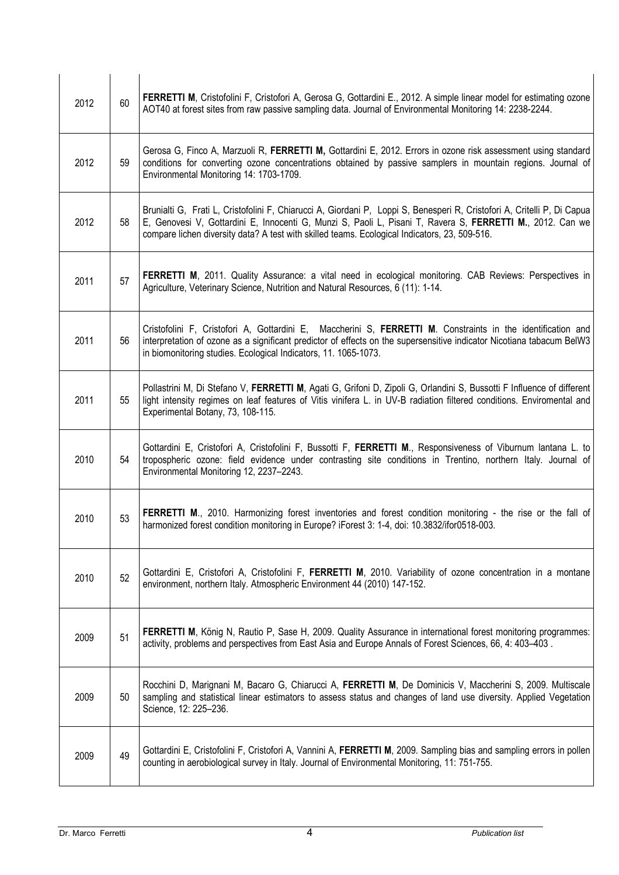| 2012 | 60 | FERRETTI M, Cristofolini F, Cristofori A, Gerosa G, Gottardini E., 2012. A simple linear model for estimating ozone<br>AOT40 at forest sites from raw passive sampling data. Journal of Environmental Monitoring 14: 2238-2244.                                                                                                       |
|------|----|---------------------------------------------------------------------------------------------------------------------------------------------------------------------------------------------------------------------------------------------------------------------------------------------------------------------------------------|
| 2012 | 59 | Gerosa G, Finco A, Marzuoli R, FERRETTI M, Gottardini E, 2012. Errors in ozone risk assessment using standard<br>conditions for converting ozone concentrations obtained by passive samplers in mountain regions. Journal of<br>Environmental Monitoring 14: 1703-1709.                                                               |
| 2012 | 58 | Brunialti G, Frati L, Cristofolini F, Chiarucci A, Giordani P, Loppi S, Benesperi R, Cristofori A, Critelli P, Di Capua<br>E, Genovesi V, Gottardini E, Innocenti G, Munzi S, Paoli L, Pisani T, Ravera S, FERRETTI M., 2012. Can we<br>compare lichen diversity data? A test with skilled teams. Ecological Indicators, 23, 509-516. |
| 2011 | 57 | FERRETTI M, 2011. Quality Assurance: a vital need in ecological monitoring. CAB Reviews: Perspectives in<br>Agriculture, Veterinary Science, Nutrition and Natural Resources, 6 (11): 1-14.                                                                                                                                           |
| 2011 | 56 | Cristofolini F, Cristofori A, Gottardini E, Maccherini S, FERRETTI M. Constraints in the identification and<br>interpretation of ozone as a significant predictor of effects on the supersensitive indicator Nicotiana tabacum BelW3<br>in biomonitoring studies. Ecological Indicators, 11. 1065-1073.                               |
| 2011 | 55 | Pollastrini M, Di Stefano V, FERRETTI M, Agati G, Grifoni D, Zipoli G, Orlandini S, Bussotti F Influence of different<br>light intensity regimes on leaf features of Vitis vinifera L. in UV-B radiation filtered conditions. Enviromental and<br>Experimental Botany, 73, 108-115.                                                   |
| 2010 | 54 | Gottardini E, Cristofori A, Cristofolini F, Bussotti F, FERRETTI M., Responsiveness of Viburnum lantana L. to<br>tropospheric ozone: field evidence under contrasting site conditions in Trentino, northern Italy. Journal of<br>Environmental Monitoring 12, 2237-2243.                                                              |
| 2010 | 53 | FERRETTI M., 2010. Harmonizing forest inventories and forest condition monitoring - the rise or the fall of<br>harmonized forest condition monitoring in Europe? iForest 3: 1-4, doi: 10.3832/ifor0518-003.                                                                                                                           |
| 2010 | 52 | Gottardini E, Cristofori A, Cristofolini F, FERRETTI M, 2010. Variability of ozone concentration in a montane<br>environment, northern Italy. Atmospheric Environment 44 (2010) 147-152.                                                                                                                                              |
| 2009 | 51 | FERRETTI M, König N, Rautio P, Sase H, 2009. Quality Assurance in international forest monitoring programmes:<br>activity, problems and perspectives from East Asia and Europe Annals of Forest Sciences, 66, 4: 403-403.                                                                                                             |
| 2009 | 50 | Rocchini D, Marignani M, Bacaro G, Chiarucci A, FERRETTI M, De Dominicis V, Maccherini S, 2009. Multiscale<br>sampling and statistical linear estimators to assess status and changes of land use diversity. Applied Vegetation<br>Science, 12: 225-236.                                                                              |
| 2009 | 49 | Gottardini E, Cristofolini F, Cristofori A, Vannini A, FERRETTI M, 2009. Sampling bias and sampling errors in pollen<br>counting in aerobiological survey in Italy. Journal of Environmental Monitoring, 11: 751-755.                                                                                                                 |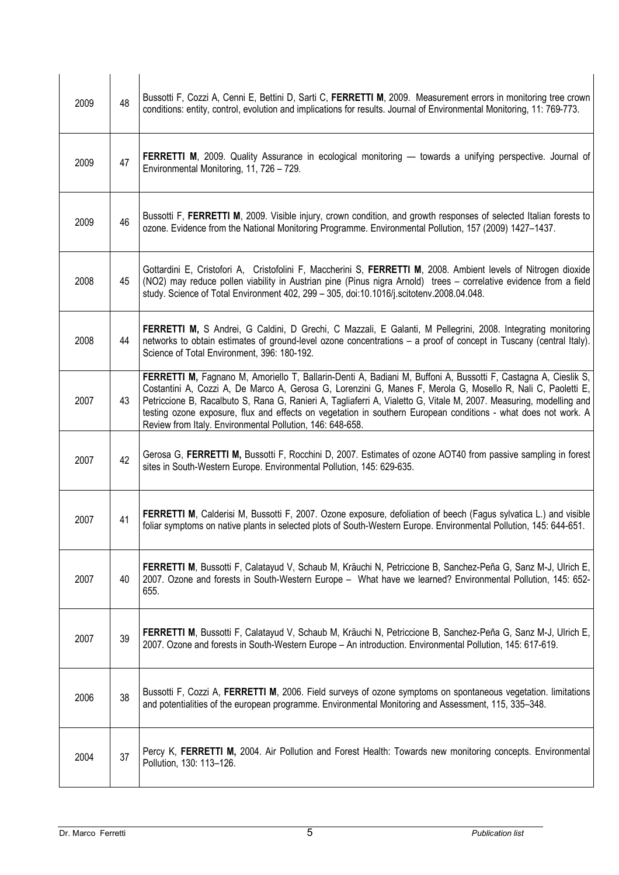| 2009 | 48 | Bussotti F, Cozzi A, Cenni E, Bettini D, Sarti C, FERRETTI M, 2009. Measurement errors in monitoring tree crown<br>conditions: entity, control, evolution and implications for results. Journal of Environmental Monitoring, 11: 769-773.                                                                                                                                                                                                                                                                                          |
|------|----|------------------------------------------------------------------------------------------------------------------------------------------------------------------------------------------------------------------------------------------------------------------------------------------------------------------------------------------------------------------------------------------------------------------------------------------------------------------------------------------------------------------------------------|
| 2009 | 47 | FERRETTI M, 2009. Quality Assurance in ecological monitoring — towards a unifying perspective. Journal of<br>Environmental Monitoring, 11, 726 - 729.                                                                                                                                                                                                                                                                                                                                                                              |
| 2009 | 46 | Bussotti F, FERRETTI M, 2009. Visible injury, crown condition, and growth responses of selected Italian forests to<br>ozone. Evidence from the National Monitoring Programme. Environmental Pollution, 157 (2009) 1427-1437.                                                                                                                                                                                                                                                                                                       |
| 2008 | 45 | Gottardini E, Cristofori A, Cristofolini F, Maccherini S, FERRETTI M, 2008. Ambient levels of Nitrogen dioxide<br>(NO2) may reduce pollen viability in Austrian pine (Pinus nigra Arnold) trees - correlative evidence from a field<br>study. Science of Total Environment 402, 299 - 305, doi:10.1016/j.scitotenv.2008.04.048.                                                                                                                                                                                                    |
| 2008 | 44 | FERRETTI M, S Andrei, G Caldini, D Grechi, C Mazzali, E Galanti, M Pellegrini, 2008. Integrating monitoring<br>networks to obtain estimates of ground-level ozone concentrations - a proof of concept in Tuscany (central Italy).<br>Science of Total Environment, 396: 180-192.                                                                                                                                                                                                                                                   |
| 2007 | 43 | FERRETTI M, Fagnano M, Amoriello T, Ballarin-Denti A, Badiani M, Buffoni A, Bussotti F, Castagna A, Cieslik S,<br>Costantini A, Cozzi A, De Marco A, Gerosa G, Lorenzini G, Manes F, Merola G, Mosello R, Nali C, Paoletti E,<br>Petriccione B, Racalbuto S, Rana G, Ranieri A, Tagliaferri A, Vialetto G, Vitale M, 2007. Measuring, modelling and<br>testing ozone exposure, flux and effects on vegetation in southern European conditions - what does not work. A<br>Review from Italy. Environmental Pollution, 146: 648-658. |
| 2007 | 42 | Gerosa G, FERRETTI M, Bussotti F, Rocchini D, 2007. Estimates of ozone AOT40 from passive sampling in forest<br>sites in South-Western Europe. Environmental Pollution, 145: 629-635.                                                                                                                                                                                                                                                                                                                                              |
| 2007 | 41 | <b>FERRETTI M, Calderisi M, Bussotti F, 2007. Ozone exposure, defoliation of beech (Fagus sylvatica L.) and visible</b><br>foliar symptoms on native plants in selected plots of South-Western Europe. Environmental Pollution, 145: 644-651.                                                                                                                                                                                                                                                                                      |
| 2007 | 40 | FERRETTI M, Bussotti F, Calatayud V, Schaub M, Kräuchi N, Petriccione B, Sanchez-Peña G, Sanz M-J, Ulrich E,<br>2007. Ozone and forests in South-Western Europe - What have we learned? Environmental Pollution, 145: 652-<br>655.                                                                                                                                                                                                                                                                                                 |
| 2007 | 39 | FERRETTI M, Bussotti F, Calatayud V, Schaub M, Kräuchi N, Petriccione B, Sanchez-Peña G, Sanz M-J, Ulrich E,<br>2007. Ozone and forests in South-Western Europe - An introduction. Environmental Pollution, 145: 617-619.                                                                                                                                                                                                                                                                                                          |
| 2006 | 38 | Bussotti F, Cozzi A, FERRETTI M, 2006. Field surveys of ozone symptoms on spontaneous vegetation. limitations<br>and potentialities of the european programme. Environmental Monitoring and Assessment, 115, 335-348.                                                                                                                                                                                                                                                                                                              |
| 2004 | 37 | Percy K, FERRETTI M, 2004. Air Pollution and Forest Health: Towards new monitoring concepts. Environmental<br>Pollution, 130: 113-126.                                                                                                                                                                                                                                                                                                                                                                                             |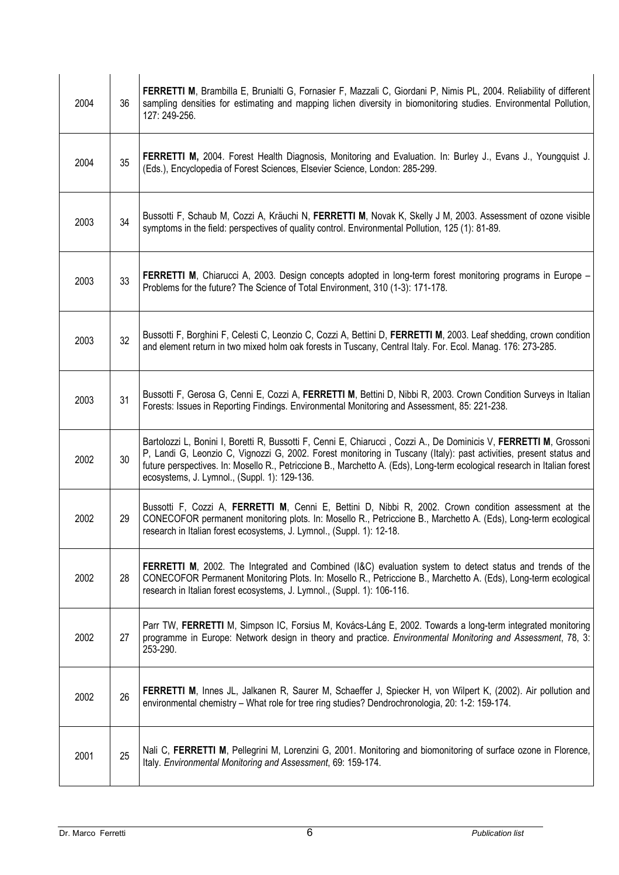| 2004 | 36 | FERRETTI M, Brambilla E, Brunialti G, Fornasier F, Mazzali C, Giordani P, Nimis PL, 2004. Reliability of different<br>sampling densities for estimating and mapping lichen diversity in biomonitoring studies. Environmental Pollution,<br>127: 249-256.                                                                                                                                                            |
|------|----|---------------------------------------------------------------------------------------------------------------------------------------------------------------------------------------------------------------------------------------------------------------------------------------------------------------------------------------------------------------------------------------------------------------------|
| 2004 | 35 | FERRETTI M, 2004. Forest Health Diagnosis, Monitoring and Evaluation. In: Burley J., Evans J., Youngquist J.<br>(Eds.), Encyclopedia of Forest Sciences, Elsevier Science, London: 285-299.                                                                                                                                                                                                                         |
| 2003 | 34 | Bussotti F, Schaub M, Cozzi A, Kräuchi N, FERRETTI M, Novak K, Skelly J M, 2003. Assessment of ozone visible<br>symptoms in the field: perspectives of quality control. Environmental Pollution, 125 (1): 81-89.                                                                                                                                                                                                    |
| 2003 | 33 | <b>FERRETTI M</b> , Chiarucci A, 2003. Design concepts adopted in long-term forest monitoring programs in Europe –<br>Problems for the future? The Science of Total Environment, 310 (1-3): 171-178.                                                                                                                                                                                                                |
| 2003 | 32 | Bussotti F, Borghini F, Celesti C, Leonzio C, Cozzi A, Bettini D, FERRETTI M, 2003. Leaf shedding, crown condition<br>and element return in two mixed holm oak forests in Tuscany, Central Italy. For. Ecol. Manag. 176: 273-285.                                                                                                                                                                                   |
| 2003 | 31 | Bussotti F, Gerosa G, Cenni E, Cozzi A, FERRETTI M, Bettini D, Nibbi R, 2003. Crown Condition Surveys in Italian<br>Forests: Issues in Reporting Findings. Environmental Monitoring and Assessment, 85: 221-238.                                                                                                                                                                                                    |
| 2002 | 30 | Bartolozzi L, Bonini I, Boretti R, Bussotti F, Cenni E, Chiarucci, Cozzi A., De Dominicis V, FERRETTI M, Grossoni<br>P, Landi G, Leonzio C, Vignozzi G, 2002. Forest monitoring in Tuscany (Italy): past activities, present status and<br>future perspectives. In: Mosello R., Petriccione B., Marchetto A. (Eds), Long-term ecological research in Italian forest<br>ecosystems, J. Lymnol., (Suppl. 1): 129-136. |
| 2002 | 29 | Bussotti F, Cozzi A, FERRETTI M, Cenni E, Bettini D, Nibbi R, 2002. Crown condition assessment at the<br>CONECOFOR permanent monitoring plots. In: Mosello R., Petriccione B., Marchetto A. (Eds), Long-term ecological<br>research in Italian forest ecosystems, J. Lymnol., (Suppl. 1): 12-18.                                                                                                                    |
| 2002 | 28 | FERRETTI M, 2002. The Integrated and Combined (I&C) evaluation system to detect status and trends of the<br>CONECOFOR Permanent Monitoring Plots. In: Mosello R., Petriccione B., Marchetto A. (Eds), Long-term ecological<br>research in Italian forest ecosystems, J. Lymnol., (Suppl. 1): 106-116.                                                                                                               |
| 2002 | 27 | Parr TW, FERRETTI M, Simpson IC, Forsius M, Kovács-Láng E, 2002. Towards a long-term integrated monitoring<br>programme in Europe: Network design in theory and practice. Environmental Monitoring and Assessment, 78, 3:<br>253-290.                                                                                                                                                                               |
| 2002 | 26 | FERRETTI M, Innes JL, Jalkanen R, Saurer M, Schaeffer J, Spiecker H, von Wilpert K, (2002). Air pollution and<br>environmental chemistry - What role for tree ring studies? Dendrochronologia, 20: 1-2: 159-174.                                                                                                                                                                                                    |
| 2001 | 25 | Nali C, FERRETTI M, Pellegrini M, Lorenzini G, 2001. Monitoring and biomonitoring of surface ozone in Florence,<br>Italy. Environmental Monitoring and Assessment, 69: 159-174.                                                                                                                                                                                                                                     |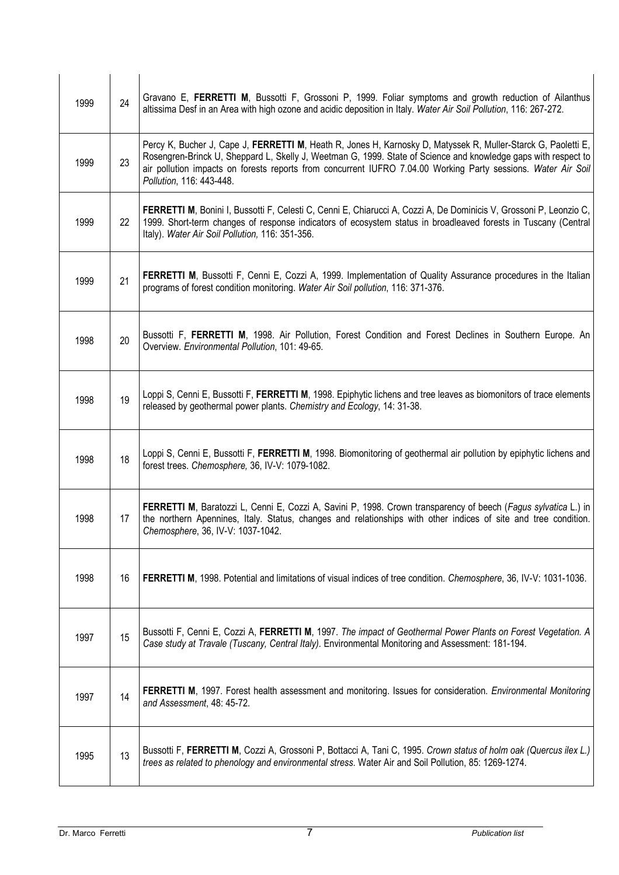| 1999 | 24 | Gravano E, FERRETTI M, Bussotti F, Grossoni P, 1999. Foliar symptoms and growth reduction of Ailanthus<br>altissima Desf in an Area with high ozone and acidic deposition in Italy. Water Air Soil Pollution, 116: 267-272.                                                                                                                                                  |
|------|----|------------------------------------------------------------------------------------------------------------------------------------------------------------------------------------------------------------------------------------------------------------------------------------------------------------------------------------------------------------------------------|
| 1999 | 23 | Percy K, Bucher J, Cape J, FERRETTI M, Heath R, Jones H, Karnosky D, Matyssek R, Muller-Starck G, Paoletti E,<br>Rosengren-Brinck U, Sheppard L, Skelly J, Weetman G, 1999. State of Science and knowledge gaps with respect to<br>air pollution impacts on forests reports from concurrent IUFRO 7.04.00 Working Party sessions. Water Air Soil<br>Pollution, 116: 443-448. |
| 1999 | 22 | FERRETTI M, Bonini I, Bussotti F, Celesti C, Cenni E, Chiarucci A, Cozzi A, De Dominicis V, Grossoni P, Leonzio C,<br>1999. Short-term changes of response indicators of ecosystem status in broadleaved forests in Tuscany (Central<br>Italy). Water Air Soil Pollution, 116: 351-356.                                                                                      |
| 1999 | 21 | <b>FERRETTI M, Bussotti F, Cenni E, Cozzi A, 1999. Implementation of Quality Assurance procedures in the Italian</b><br>programs of forest condition monitoring. Water Air Soil pollution, 116: 371-376.                                                                                                                                                                     |
| 1998 | 20 | Bussotti F, FERRETTI M, 1998. Air Pollution, Forest Condition and Forest Declines in Southern Europe. An<br>Overview. Environmental Pollution, 101: 49-65.                                                                                                                                                                                                                   |
| 1998 | 19 | Loppi S, Cenni E, Bussotti F, FERRETTI M, 1998. Epiphytic lichens and tree leaves as biomonitors of trace elements<br>released by geothermal power plants. Chemistry and Ecology, 14: 31-38.                                                                                                                                                                                 |
| 1998 | 18 | Loppi S, Cenni E, Bussotti F, FERRETTI M, 1998. Biomonitoring of geothermal air pollution by epiphytic lichens and<br>forest trees. Chemosphere, 36, IV-V: 1079-1082.                                                                                                                                                                                                        |
| 1998 | 17 | FERRETTI M, Baratozzi L, Cenni E, Cozzi A, Savini P, 1998. Crown transparency of beech (Fagus sylvatica L.) in<br>the northern Apennines, Italy. Status, changes and relationships with other indices of site and tree condition.<br>Chemosphere, 36, IV-V: 1037-1042.                                                                                                       |
| 1998 | 16 | FERRETTI M, 1998. Potential and limitations of visual indices of tree condition. Chemosphere, 36, IV-V: 1031-1036.                                                                                                                                                                                                                                                           |
| 1997 | 15 | Bussotti F, Cenni E, Cozzi A, FERRETTI M, 1997. The impact of Geothermal Power Plants on Forest Vegetation. A<br>Case study at Travale (Tuscany, Central Italy). Environmental Monitoring and Assessment: 181-194.                                                                                                                                                           |
| 1997 | 14 | FERRETTI M, 1997. Forest health assessment and monitoring. Issues for consideration. Environmental Monitoring<br>and Assessment, 48: 45-72.                                                                                                                                                                                                                                  |
| 1995 | 13 | Bussotti F, FERRETTI M, Cozzi A, Grossoni P, Bottacci A, Tani C, 1995. Crown status of holm oak (Quercus ilex L.)<br>trees as related to phenology and environmental stress. Water Air and Soil Pollution, 85: 1269-1274.                                                                                                                                                    |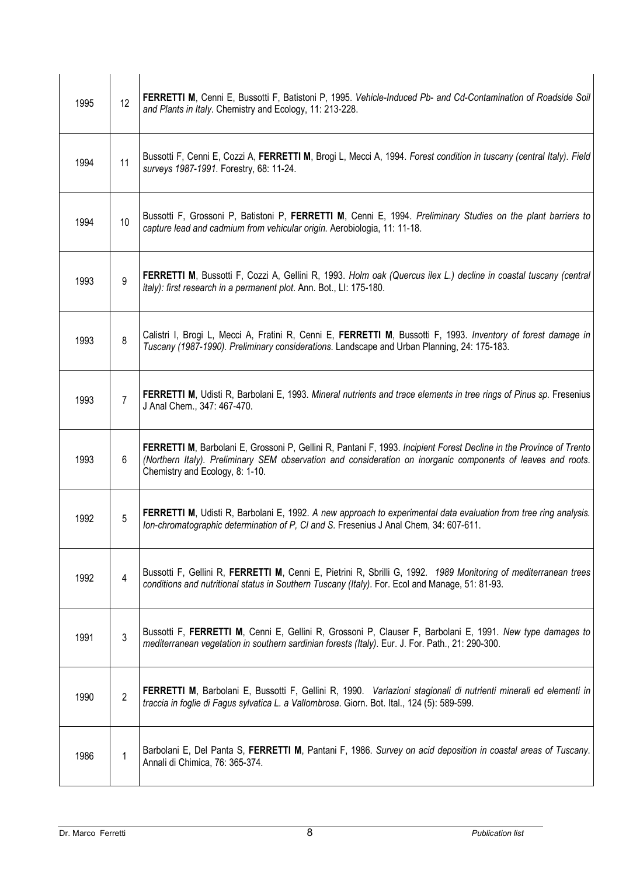| 1995 | 12              | FERRETTI M, Cenni E, Bussotti F, Batistoni P, 1995. Vehicle-Induced Pb- and Cd-Contamination of Roadside Soil<br>and Plants in Italy. Chemistry and Ecology, 11: 213-228.                                                                                              |
|------|-----------------|------------------------------------------------------------------------------------------------------------------------------------------------------------------------------------------------------------------------------------------------------------------------|
| 1994 | 11              | Bussotti F, Cenni E, Cozzi A, FERRETTI M, Brogi L, Mecci A, 1994. Forest condition in tuscany (central Italy). Field<br>surveys 1987-1991. Forestry, 68: 11-24.                                                                                                        |
| 1994 | 10 <sup>°</sup> | Bussotti F, Grossoni P, Batistoni P, FERRETTI M, Cenni E, 1994. Preliminary Studies on the plant barriers to<br>capture lead and cadmium from vehicular origin. Aerobiologia, 11: 11-18.                                                                               |
| 1993 | 9               | FERRETTI M, Bussotti F, Cozzi A, Gellini R, 1993. Holm oak (Quercus ilex L.) decline in coastal tuscany (central<br>italy): first research in a permanent plot. Ann. Bot., LI: 175-180.                                                                                |
| 1993 | 8               | Calistri I, Brogi L, Mecci A, Fratini R, Cenni E, FERRETTI M, Bussotti F, 1993. Inventory of forest damage in<br>Tuscany (1987-1990). Preliminary considerations. Landscape and Urban Planning, 24: 175-183.                                                           |
| 1993 | 7               | FERRETTI M, Udisti R, Barbolani E, 1993. Mineral nutrients and trace elements in tree rings of Pinus sp. Fresenius<br>J Anal Chem., 347: 467-470.                                                                                                                      |
| 1993 | 6               | FERRETTI M, Barbolani E, Grossoni P, Gellini R, Pantani F, 1993. Incipient Forest Decline in the Province of Trento<br>(Northern Italy). Preliminary SEM observation and consideration on inorganic components of leaves and roots.<br>Chemistry and Ecology, 8: 1-10. |
| 1992 | 5               | FERRETTI M, Udisti R, Barbolani E, 1992. A new approach to experimental data evaluation from tree ring analysis.<br>Ion-chromatographic determination of P, CI and S. Fresenius J Anal Chem, 34: 607-611.                                                              |
| 1992 | 4               | Bussotti F, Gellini R, FERRETTI M, Cenni E, Pietrini R, Sbrilli G, 1992. 1989 Monitoring of mediterranean trees<br>conditions and nutritional status in Southern Tuscany (Italy). For. Ecol and Manage, 51: 81-93.                                                     |
| 1991 | 3               | Bussotti F, FERRETTI M, Cenni E, Gellini R, Grossoni P, Clauser F, Barbolani E, 1991. New type damages to<br>mediterranean vegetation in southern sardinian forests (Italy). Eur. J. For. Path., 21: 290-300.                                                          |
| 1990 | $\overline{2}$  | FERRETTI M, Barbolani E, Bussotti F, Gellini R, 1990. Variazioni stagionali di nutrienti minerali ed elementi in<br>traccia in foglie di Fagus sylvatica L. a Vallombrosa. Giorn. Bot. Ital., 124 (5): 589-599.                                                        |
| 1986 | 1               | Barbolani E, Del Panta S, FERRETTI M, Pantani F, 1986. Survey on acid deposition in coastal areas of Tuscany.<br>Annali di Chimica, 76: 365-374.                                                                                                                       |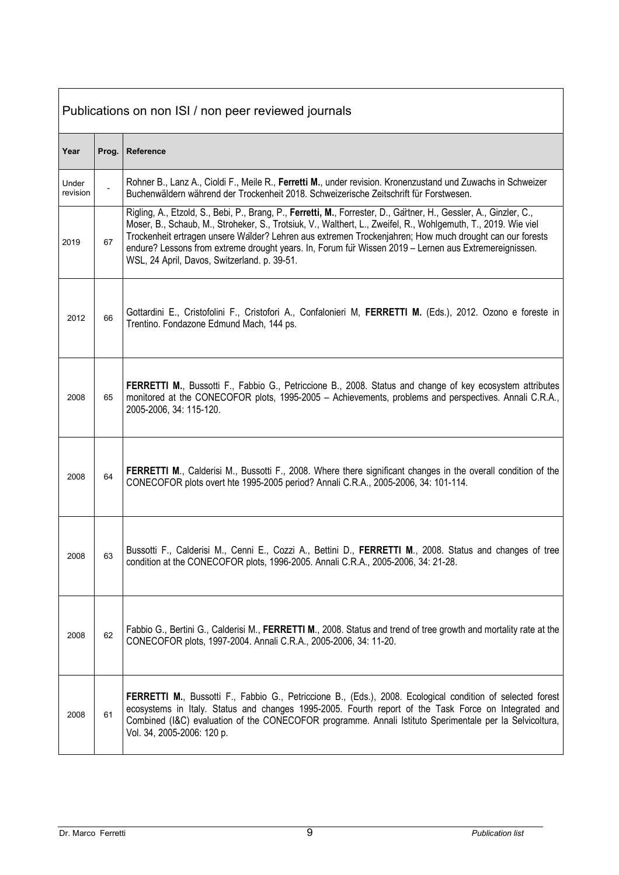| Publications on non ISI / non peer reviewed journals |       |                                                                                                                                                                                                                                                                                                                                                                                                                                                                                                        |
|------------------------------------------------------|-------|--------------------------------------------------------------------------------------------------------------------------------------------------------------------------------------------------------------------------------------------------------------------------------------------------------------------------------------------------------------------------------------------------------------------------------------------------------------------------------------------------------|
| Year                                                 | Prog. | Reference                                                                                                                                                                                                                                                                                                                                                                                                                                                                                              |
| Under<br>revision                                    |       | Rohner B., Lanz A., Cioldi F., Meile R., Ferretti M., under revision. Kronenzustand und Zuwachs in Schweizer<br>Buchenwäldern während der Trockenheit 2018. Schweizerische Zeitschrift für Forstwesen.                                                                                                                                                                                                                                                                                                 |
| 2019                                                 | 67    | Rigling, A., Etzold, S., Bebi, P., Brang, P., Ferretti, M., Forrester, D., Gartner, H., Gessler, A., Ginzler, C.,<br>Moser, B., Schaub, M., Stroheker, S., Trotsiuk, V., Walthert, L., Zweifel, R., Wohlgemuth, T., 2019. Wie viel<br>Trockenheit ertragen unsere Walder? Lehren aus extremen Trockenjahren; How much drought can our forests<br>endure? Lessons from extreme drought years. In, Forum fur Wissen 2019 - Lernen aus Extremereignissen.<br>WSL, 24 April, Davos, Switzerland. p. 39-51. |
| 2012                                                 | 66    | Gottardini E., Cristofolini F., Cristofori A., Confalonieri M, FERRETTI M. (Eds.), 2012. Ozono e foreste in<br>Trentino. Fondazone Edmund Mach, 144 ps.                                                                                                                                                                                                                                                                                                                                                |
| 2008                                                 | 65    | FERRETTI M., Bussotti F., Fabbio G., Petriccione B., 2008. Status and change of key ecosystem attributes<br>monitored at the CONECOFOR plots, 1995-2005 - Achievements, problems and perspectives. Annali C.R.A.,<br>2005-2006, 34: 115-120.                                                                                                                                                                                                                                                           |
| 2008                                                 | 64    | FERRETTI M., Calderisi M., Bussotti F., 2008. Where there significant changes in the overall condition of the<br>CONECOFOR plots overt hte 1995-2005 period? Annali C.R.A., 2005-2006, 34: 101-114.                                                                                                                                                                                                                                                                                                    |
| 2008                                                 | 63    | Bussotti F., Calderisi M., Cenni E., Cozzi A., Bettini D., FERRETTI M., 2008. Status and changes of tree<br>condition at the CONECOFOR plots, 1996-2005. Annali C.R.A., 2005-2006, 34: 21-28.                                                                                                                                                                                                                                                                                                          |
| 2008                                                 | 62    | Fabbio G., Bertini G., Calderisi M., FERRETTI M., 2008. Status and trend of tree growth and mortality rate at the<br>CONECOFOR plots, 1997-2004. Annali C.R.A., 2005-2006, 34: 11-20.                                                                                                                                                                                                                                                                                                                  |
| 2008                                                 | 61    | FERRETTI M., Bussotti F., Fabbio G., Petriccione B., (Eds.), 2008. Ecological condition of selected forest<br>ecosystems in Italy. Status and changes 1995-2005. Fourth report of the Task Force on Integrated and<br>Combined (I&C) evaluation of the CONECOFOR programme. Annali Istituto Sperimentale per la Selvicoltura,<br>Vol. 34, 2005-2006: 120 p.                                                                                                                                            |

**r**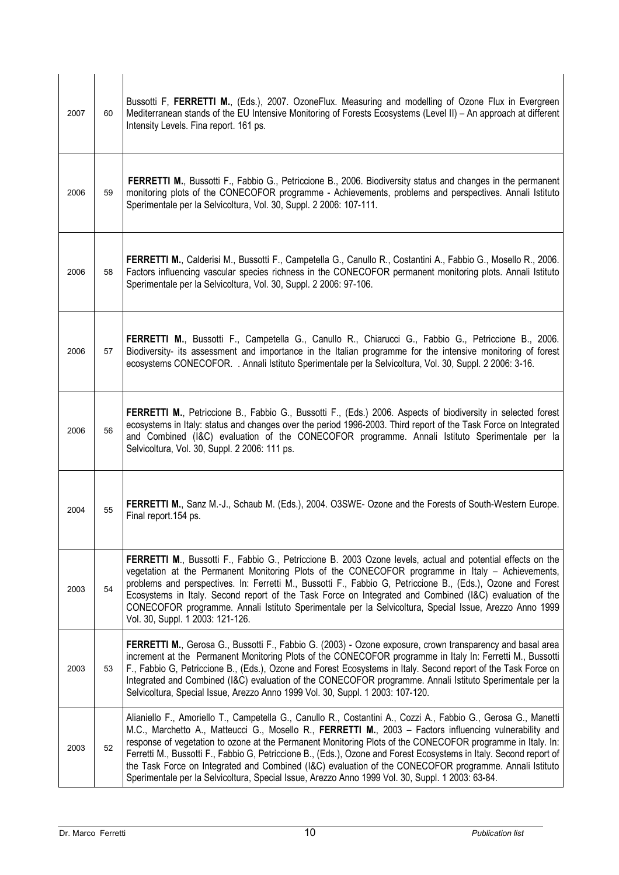| 2007 | 60 | Bussotti F, FERRETTI M., (Eds.), 2007. OzoneFlux. Measuring and modelling of Ozone Flux in Evergreen<br>Mediterranean stands of the EU Intensive Monitoring of Forests Ecosystems (Level II) - An approach at different<br>Intensity Levels. Fina report. 161 ps.                                                                                                                                                                                                                                                                                                                                                                                                           |
|------|----|-----------------------------------------------------------------------------------------------------------------------------------------------------------------------------------------------------------------------------------------------------------------------------------------------------------------------------------------------------------------------------------------------------------------------------------------------------------------------------------------------------------------------------------------------------------------------------------------------------------------------------------------------------------------------------|
| 2006 | 59 | FERRETTI M., Bussotti F., Fabbio G., Petriccione B., 2006. Biodiversity status and changes in the permanent<br>monitoring plots of the CONECOFOR programme - Achievements, problems and perspectives. Annali Istituto<br>Sperimentale per la Selvicoltura, Vol. 30, Suppl. 2 2006: 107-111.                                                                                                                                                                                                                                                                                                                                                                                 |
| 2006 | 58 | FERRETTI M., Calderisi M., Bussotti F., Campetella G., Canullo R., Costantini A., Fabbio G., Mosello R., 2006.<br>Factors influencing vascular species richness in the CONECOFOR permanent monitoring plots. Annali Istituto<br>Sperimentale per la Selvicoltura, Vol. 30, Suppl. 2 2006: 97-106.                                                                                                                                                                                                                                                                                                                                                                           |
| 2006 | 57 | FERRETTI M., Bussotti F., Campetella G., Canullo R., Chiarucci G., Fabbio G., Petriccione B., 2006.<br>Biodiversity- its assessment and importance in the Italian programme for the intensive monitoring of forest<br>ecosystems CONECOFOR. . Annali Istituto Sperimentale per la Selvicoltura, Vol. 30, Suppl. 2 2006: 3-16.                                                                                                                                                                                                                                                                                                                                               |
| 2006 | 56 | FERRETTI M., Petriccione B., Fabbio G., Bussotti F., (Eds.) 2006. Aspects of biodiversity in selected forest<br>ecosystems in Italy: status and changes over the period 1996-2003. Third report of the Task Force on Integrated<br>and Combined (I&C) evaluation of the CONECOFOR programme. Annali Istituto Sperimentale per la<br>Selvicoltura, Vol. 30, Suppl. 2 2006: 111 ps.                                                                                                                                                                                                                                                                                           |
| 2004 | 55 | FERRETTI M., Sanz M.-J., Schaub M. (Eds.), 2004. O3SWE- Ozone and the Forests of South-Western Europe.<br>Final report. 154 ps.                                                                                                                                                                                                                                                                                                                                                                                                                                                                                                                                             |
| 2003 | 54 | FERRETTI M., Bussotti F., Fabbio G., Petriccione B. 2003 Ozone levels, actual and potential effects on the<br>vegetation at the Permanent Monitoring Plots of the CONECOFOR programme in Italy - Achievements,<br>problems and perspectives. In: Ferretti M., Bussotti F., Fabbio G, Petriccione B., (Eds.), Ozone and Forest<br>Ecosystems in Italy. Second report of the Task Force on Integrated and Combined (I&C) evaluation of the<br>CONECOFOR programme. Annali Istituto Sperimentale per la Selvicoltura, Special Issue, Arezzo Anno 1999<br>Vol. 30, Suppl. 1 2003: 121-126.                                                                                      |
| 2003 | 53 | FERRETTI M., Gerosa G., Bussotti F., Fabbio G. (2003) - Ozone exposure, crown transparency and basal area<br>increment at the Permanent Monitoring Plots of the CONECOFOR programme in Italy In: Ferretti M., Bussotti<br>F., Fabbio G, Petriccione B., (Eds.), Ozone and Forest Ecosystems in Italy. Second report of the Task Force on<br>Integrated and Combined (I&C) evaluation of the CONECOFOR programme. Annali Istituto Sperimentale per la<br>Selvicoltura, Special Issue, Arezzo Anno 1999 Vol. 30, Suppl. 1 2003: 107-120.                                                                                                                                      |
| 2003 | 52 | Alianiello F., Amoriello T., Campetella G., Canullo R., Costantini A., Cozzi A., Fabbio G., Gerosa G., Manetti<br>M.C., Marchetto A., Matteucci G., Mosello R., FERRETTI M., 2003 - Factors influencing vulnerability and<br>response of vegetation to ozone at the Permanent Monitoring Plots of the CONECOFOR programme in Italy. In:<br>Ferretti M., Bussotti F., Fabbio G, Petriccione B., (Eds.), Ozone and Forest Ecosystems in Italy. Second report of<br>the Task Force on Integrated and Combined (I&C) evaluation of the CONECOFOR programme. Annali Istituto<br>Sperimentale per la Selvicoltura, Special Issue, Arezzo Anno 1999 Vol. 30, Suppl. 1 2003: 63-84. |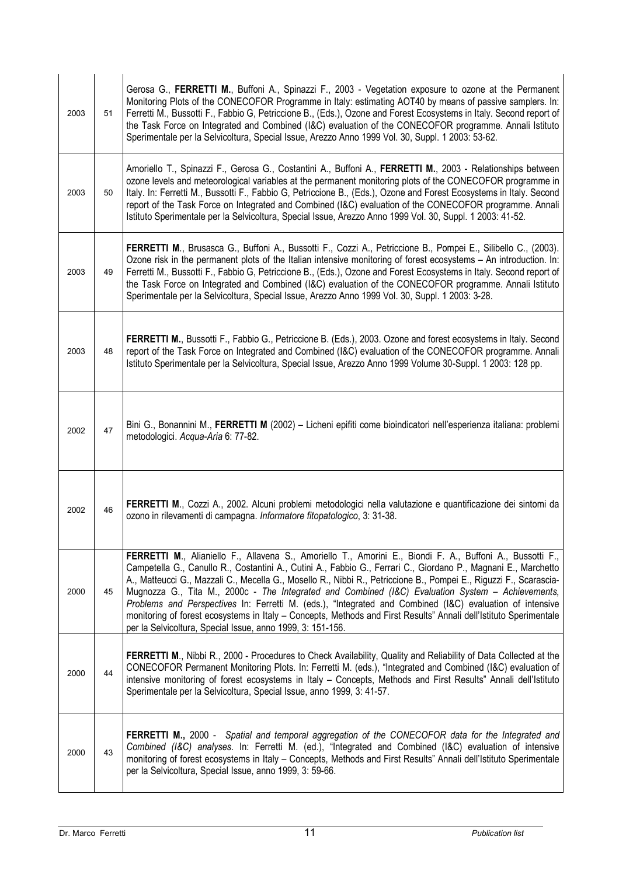| 2003 | 51 | Gerosa G., FERRETTI M., Buffoni A., Spinazzi F., 2003 - Vegetation exposure to ozone at the Permanent<br>Monitoring Plots of the CONECOFOR Programme in Italy: estimating AOT40 by means of passive samplers. In:<br>Ferretti M., Bussotti F., Fabbio G, Petriccione B., (Eds.), Ozone and Forest Ecosystems in Italy. Second report of<br>the Task Force on Integrated and Combined (I&C) evaluation of the CONECOFOR programme. Annali Istituto<br>Sperimentale per la Selvicoltura, Special Issue, Arezzo Anno 1999 Vol. 30, Suppl. 1 2003: 53-62.                                                                                                                                                                                                |
|------|----|------------------------------------------------------------------------------------------------------------------------------------------------------------------------------------------------------------------------------------------------------------------------------------------------------------------------------------------------------------------------------------------------------------------------------------------------------------------------------------------------------------------------------------------------------------------------------------------------------------------------------------------------------------------------------------------------------------------------------------------------------|
| 2003 | 50 | Amoriello T., Spinazzi F., Gerosa G., Costantini A., Buffoni A., FERRETTI M., 2003 - Relationships between<br>ozone levels and meteorological variables at the permanent monitoring plots of the CONECOFOR programme in<br>Italy. In: Ferretti M., Bussotti F., Fabbio G, Petriccione B., (Eds.), Ozone and Forest Ecosystems in Italy. Second<br>report of the Task Force on Integrated and Combined (I&C) evaluation of the CONECOFOR programme. Annali<br>Istituto Sperimentale per la Selvicoltura, Special Issue, Arezzo Anno 1999 Vol. 30, Suppl. 1 2003: 41-52.                                                                                                                                                                               |
| 2003 | 49 | FERRETTI M., Brusasca G., Buffoni A., Bussotti F., Cozzi A., Petriccione B., Pompei E., Silibello C., (2003).<br>Ozone risk in the permanent plots of the Italian intensive monitoring of forest ecosystems - An introduction. In:<br>Ferretti M., Bussotti F., Fabbio G, Petriccione B., (Eds.), Ozone and Forest Ecosystems in Italy. Second report of<br>the Task Force on Integrated and Combined (I&C) evaluation of the CONECOFOR programme. Annali Istituto<br>Sperimentale per la Selvicoltura, Special Issue, Arezzo Anno 1999 Vol. 30, Suppl. 1 2003: 3-28.                                                                                                                                                                                |
| 2003 | 48 | FERRETTI M., Bussotti F., Fabbio G., Petriccione B. (Eds.), 2003. Ozone and forest ecosystems in Italy. Second<br>report of the Task Force on Integrated and Combined (I&C) evaluation of the CONECOFOR programme. Annali<br>Istituto Sperimentale per la Selvicoltura, Special Issue, Arezzo Anno 1999 Volume 30-Suppl. 1 2003: 128 pp.                                                                                                                                                                                                                                                                                                                                                                                                             |
| 2002 | 47 | Bini G., Bonannini M., FERRETTI M (2002) - Licheni epifiti come bioindicatori nell'esperienza italiana: problemi<br>metodologici. Acqua-Aria 6: 77-82.                                                                                                                                                                                                                                                                                                                                                                                                                                                                                                                                                                                               |
| 2002 | 46 | FERRETTI M., Cozzi A., 2002. Alcuni problemi metodologici nella valutazione e quantificazione dei sintomi da<br>ozono in rilevamenti di campagna. Informatore fitopatologico, 3: 31-38.                                                                                                                                                                                                                                                                                                                                                                                                                                                                                                                                                              |
| 2000 | 45 | FERRETTI M., Alianiello F., Allavena S., Amoriello T., Amorini E., Biondi F. A., Buffoni A., Bussotti F.,<br>Campetella G., Canullo R., Costantini A., Cutini A., Fabbio G., Ferrari C., Giordano P., Magnani E., Marchetto<br>A., Matteucci G., Mazzali C., Mecella G., Mosello R., Nibbi R., Petriccione B., Pompei E., Riguzzi F., Scarascia-<br>Mugnozza G., Tita M., 2000c - The Integrated and Combined (I&C) Evaluation System - Achievements,<br>Problems and Perspectives In: Ferretti M. (eds.), "Integrated and Combined (I&C) evaluation of intensive<br>monitoring of forest ecosystems in Italy - Concepts, Methods and First Results" Annali dell'Istituto Sperimentale<br>per la Selvicoltura, Special Issue, anno 1999, 3: 151-156. |
| 2000 | 44 | FERRETTI M., Nibbi R., 2000 - Procedures to Check Availability, Quality and Reliability of Data Collected at the<br>CONECOFOR Permanent Monitoring Plots. In: Ferretti M. (eds.), "Integrated and Combined (I&C) evaluation of<br>intensive monitoring of forest ecosystems in Italy - Concepts, Methods and First Results" Annali dell'Istituto<br>Sperimentale per la Selvicoltura, Special Issue, anno 1999, 3: 41-57.                                                                                                                                                                                                                                                                                                                            |
| 2000 | 43 | FERRETTI M., 2000 - Spatial and temporal aggregation of the CONECOFOR data for the Integrated and<br>Combined (I&C) analyses. In: Ferretti M. (ed.), "Integrated and Combined (I&C) evaluation of intensive<br>monitoring of forest ecosystems in Italy - Concepts, Methods and First Results" Annali dell'Istituto Sperimentale<br>per la Selvicoltura, Special Issue, anno 1999, 3: 59-66.                                                                                                                                                                                                                                                                                                                                                         |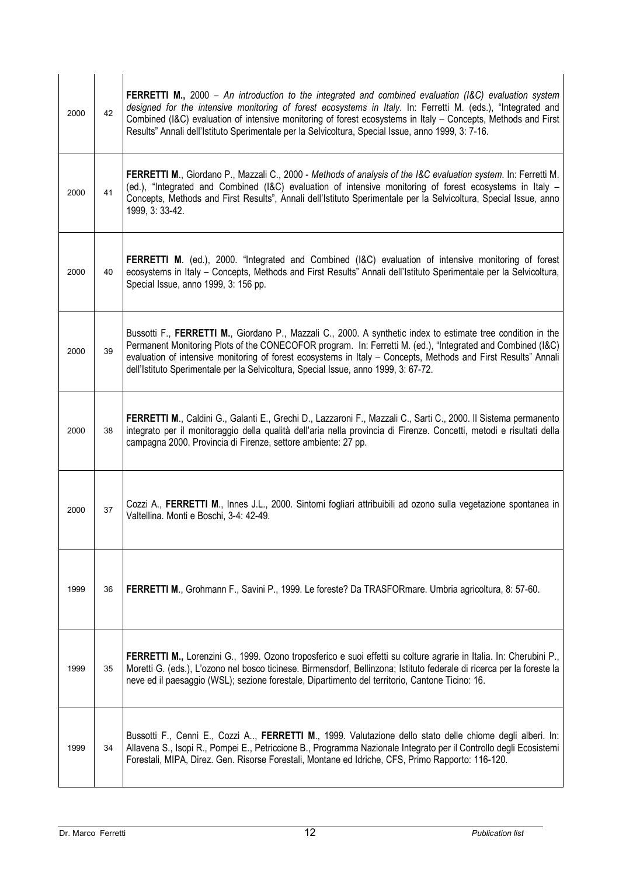| 2000 | 42 | FERRETTI M., 2000 - An introduction to the integrated and combined evaluation (I&C) evaluation system<br>designed for the intensive monitoring of forest ecosystems in Italy. In: Ferretti M. (eds.), "Integrated and<br>Combined (I&C) evaluation of intensive monitoring of forest ecosystems in Italy - Concepts, Methods and First<br>Results" Annali dell'Istituto Sperimentale per la Selvicoltura, Special Issue, anno 1999, 3: 7-16. |
|------|----|----------------------------------------------------------------------------------------------------------------------------------------------------------------------------------------------------------------------------------------------------------------------------------------------------------------------------------------------------------------------------------------------------------------------------------------------|
| 2000 | 41 | <b>FERRETTI M., Giordano P., Mazzali C., 2000 - Methods of analysis of the I&amp;C evaluation system. In: Ferretti M.</b><br>(ed.), "Integrated and Combined (I&C) evaluation of intensive monitoring of forest ecosystems in Italy -<br>Concepts, Methods and First Results", Annali dell'Istituto Sperimentale per la Selvicoltura, Special Issue, anno<br>1999, 3: 33-42.                                                                 |
| 2000 | 40 | FERRETTI M. (ed.), 2000. "Integrated and Combined (I&C) evaluation of intensive monitoring of forest<br>ecosystems in Italy - Concepts, Methods and First Results" Annali dell'Istituto Sperimentale per la Selvicoltura,<br>Special Issue, anno 1999, 3: 156 pp.                                                                                                                                                                            |
| 2000 | 39 | Bussotti F., FERRETTI M., Giordano P., Mazzali C., 2000. A synthetic index to estimate tree condition in the<br>Permanent Monitoring Plots of the CONECOFOR program. In: Ferretti M. (ed.), "Integrated and Combined (I&C)<br>evaluation of intensive monitoring of forest ecosystems in Italy - Concepts, Methods and First Results" Annali<br>dell'Istituto Sperimentale per la Selvicoltura, Special Issue, anno 1999, 3: 67-72.          |
| 2000 | 38 | FERRETTI M., Caldini G., Galanti E., Grechi D., Lazzaroni F., Mazzali C., Sarti C., 2000. Il Sistema permanento<br>integrato per il monitoraggio della qualità dell'aria nella provincia di Firenze. Concetti, metodi e risultati della<br>campagna 2000. Provincia di Firenze, settore ambiente: 27 pp.                                                                                                                                     |
| 2000 | 37 | Cozzi A., FERRETTI M., Innes J.L., 2000. Sintomi fogliari attribuibili ad ozono sulla vegetazione spontanea in<br>Valtellina. Monti e Boschi, 3-4: 42-49.                                                                                                                                                                                                                                                                                    |
| 1999 | 36 | FERRETTI M., Grohmann F., Savini P., 1999. Le foreste? Da TRASFORmare. Umbria agricoltura, 8: 57-60.                                                                                                                                                                                                                                                                                                                                         |
| 1999 | 35 | FERRETTI M., Lorenzini G., 1999. Ozono troposferico e suoi effetti su colture agrarie in Italia. In: Cherubini P.,<br>Moretti G. (eds.), L'ozono nel bosco ticinese. Birmensdorf, Bellinzona; Istituto federale di ricerca per la foreste la<br>neve ed il paesaggio (WSL); sezione forestale, Dipartimento del territorio, Cantone Ticino: 16.                                                                                              |
| 1999 | 34 | Bussotti F., Cenni E., Cozzi A, FERRETTI M., 1999. Valutazione dello stato delle chiome degli alberi. In:<br>Allavena S., Isopi R., Pompei E., Petriccione B., Programma Nazionale Integrato per il Controllo degli Ecosistemi<br>Forestali, MIPA, Direz. Gen. Risorse Forestali, Montane ed Idriche, CFS, Primo Rapporto: 116-120.                                                                                                          |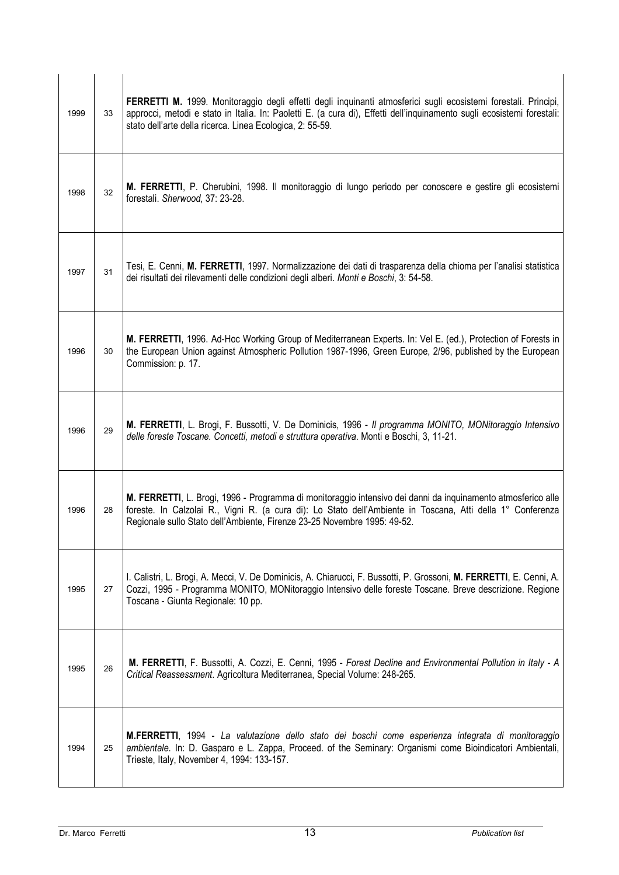| 1999 | 33 | FERRETTI M. 1999. Monitoraggio degli effetti degli inquinanti atmosferici sugli ecosistemi forestali. Principi,<br>approcci, metodi e stato in Italia. In: Paoletti E. (a cura di), Effetti dell'inquinamento sugli ecosistemi forestali:<br>stato dell'arte della ricerca. Linea Ecologica, 2: 55-59. |
|------|----|--------------------------------------------------------------------------------------------------------------------------------------------------------------------------------------------------------------------------------------------------------------------------------------------------------|
| 1998 | 32 | M. FERRETTI, P. Cherubini, 1998. Il monitoraggio di lungo periodo per conoscere e gestire gli ecosistemi<br>forestali. Sherwood, 37: 23-28.                                                                                                                                                            |
| 1997 | 31 | Tesi, E. Cenni, M. FERRETTI, 1997. Normalizzazione dei dati di trasparenza della chioma per l'analisi statistica<br>dei risultati dei rilevamenti delle condizioni degli alberi. Monti e Boschi, 3: 54-58.                                                                                             |
| 1996 | 30 | M. FERRETTI, 1996. Ad-Hoc Working Group of Mediterranean Experts. In: Vel E. (ed.), Protection of Forests in<br>the European Union against Atmospheric Pollution 1987-1996, Green Europe, 2/96, published by the European<br>Commission: p. 17.                                                        |
| 1996 | 29 | M. FERRETTI, L. Brogi, F. Bussotti, V. De Dominicis, 1996 - Il programma MONITO, MONitoraggio Intensivo<br>delle foreste Toscane. Concetti, metodi e struttura operativa. Monti e Boschi, 3, 11-21.                                                                                                    |
| 1996 | 28 | M. FERRETTI, L. Brogi, 1996 - Programma di monitoraggio intensivo dei danni da inquinamento atmosferico alle<br>foreste. In Calzolai R., Vigni R. (a cura di): Lo Stato dell'Ambiente in Toscana, Atti della 1° Conferenza<br>Regionale sullo Stato dell'Ambiente, Firenze 23-25 Novembre 1995: 49-52. |
| 1995 | 27 | I. Calistri, L. Brogi, A. Mecci, V. De Dominicis, A. Chiarucci, F. Bussotti, P. Grossoni, M. FERRETTI, E. Cenni, A.<br>Cozzi, 1995 - Programma MONITO, MONitoraggio Intensivo delle foreste Toscane. Breve descrizione. Regione<br>Toscana - Giunta Regionale: 10 pp.                                  |
| 1995 | 26 | M. FERRETTI, F. Bussotti, A. Cozzi, E. Cenni, 1995 - Forest Decline and Environmental Pollution in Italy - A<br>Critical Reassessment. Agricoltura Mediterranea, Special Volume: 248-265.                                                                                                              |
| 1994 | 25 | M.FERRETTI, 1994 - La valutazione dello stato dei boschi come esperienza integrata di monitoraggio<br>ambientale. In: D. Gasparo e L. Zappa, Proceed. of the Seminary: Organismi come Bioindicatori Ambientali,<br>Trieste, Italy, November 4, 1994: 133-157.                                          |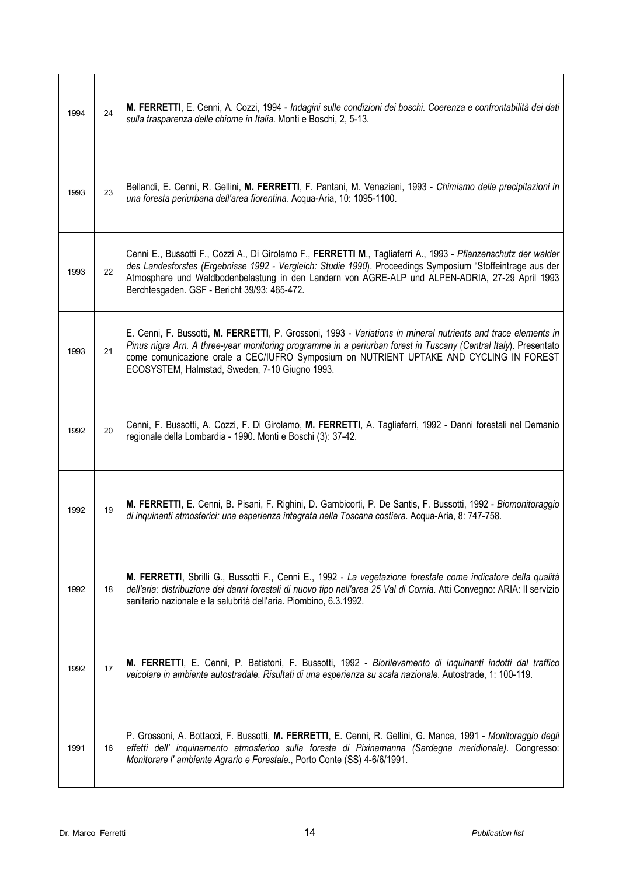| 1994 | 24 | M. FERRETTI, E. Cenni, A. Cozzi, 1994 - Indagini sulle condizioni dei boschi. Coerenza e confrontabilità dei dati<br>sulla trasparenza delle chiome in Italia. Monti e Boschi, 2, 5-13.                                                                                                                                                                                         |
|------|----|---------------------------------------------------------------------------------------------------------------------------------------------------------------------------------------------------------------------------------------------------------------------------------------------------------------------------------------------------------------------------------|
| 1993 | 23 | Bellandi, E. Cenni, R. Gellini, M. FERRETTI, F. Pantani, M. Veneziani, 1993 - Chimismo delle precipitazioni in<br>una foresta periurbana dell'area fiorentina. Acqua-Aria, 10: 1095-1100.                                                                                                                                                                                       |
| 1993 | 22 | Cenni E., Bussotti F., Cozzi A., Di Girolamo F., FERRETTI M., Tagliaferri A., 1993 - Pflanzenschutz der walder<br>des Landesforstes (Ergebnisse 1992 - Vergleich: Studie 1990). Proceedings Symposium "Stoffeintrage aus der<br>Atmosphare und Waldbodenbelastung in den Landern von AGRE-ALP und ALPEN-ADRIA, 27-29 April 1993<br>Berchtesgaden. GSF - Bericht 39/93: 465-472. |
| 1993 | 21 | E. Cenni, F. Bussotti, M. FERRETTI, P. Grossoni, 1993 - Variations in mineral nutrients and trace elements in<br>Pinus nigra Arn. A three-year monitoring programme in a periurban forest in Tuscany (Central Italy). Presentato<br>come comunicazione orale a CEC/IUFRO Symposium on NUTRIENT UPTAKE AND CYCLING IN FOREST<br>ECOSYSTEM, Halmstad, Sweden, 7-10 Giugno 1993.   |
| 1992 | 20 | Cenni, F. Bussotti, A. Cozzi, F. Di Girolamo, M. FERRETTI, A. Tagliaferri, 1992 - Danni forestali nel Demanio<br>regionale della Lombardia - 1990. Monti e Boschi (3): 37-42.                                                                                                                                                                                                   |
| 1992 | 19 | M. FERRETTI, E. Cenni, B. Pisani, F. Righini, D. Gambicorti, P. De Santis, F. Bussotti, 1992 - Biomonitoraggio<br>di inquinanti atmosferici: una esperienza integrata nella Toscana costiera. Acqua-Aria, 8: 747-758.                                                                                                                                                           |
| 1992 | 18 | M. FERRETTI, Sbrilli G., Bussotti F., Cenni E., 1992 - La vegetazione forestale come indicatore della qualità<br>dell'aria: distribuzione dei danni forestali di nuovo tipo nell'area 25 Val di Cornia. Atti Convegno: ARIA: Il servizio<br>sanitario nazionale e la salubrità dell'aria. Piombino, 6.3.1992.                                                                   |
| 1992 | 17 | M. FERRETTI, E. Cenni, P. Batistoni, F. Bussotti, 1992 - Biorilevamento di inquinanti indotti dal traffico<br>veicolare in ambiente autostradale. Risultati di una esperienza su scala nazionale. Autostrade, 1: 100-119.                                                                                                                                                       |
| 1991 | 16 | P. Grossoni, A. Bottacci, F. Bussotti, M. FERRETTI, E. Cenni, R. Gellini, G. Manca, 1991 - Monitoraggio degli<br>effetti dell' inquinamento atmosferico sulla foresta di Pixinamanna (Sardegna meridionale). Congresso:<br>Monitorare l' ambiente Agrario e Forestale., Porto Conte (SS) 4-6/6/1991.                                                                            |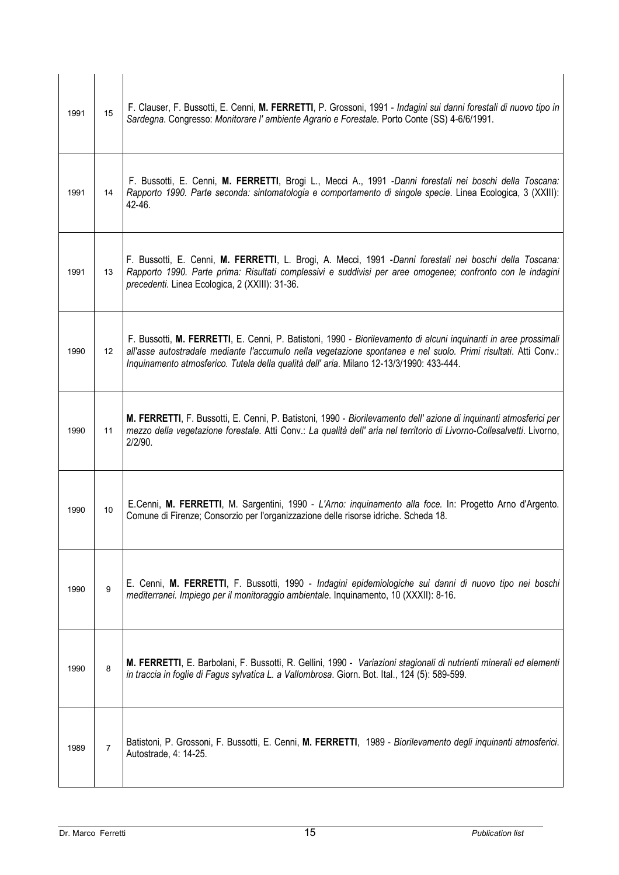| 1991 | 15             | F. Clauser, F. Bussotti, E. Cenni, M. FERRETTI, P. Grossoni, 1991 - Indagini sui danni forestali di nuovo tipo in<br>Sardegna. Congresso: Monitorare l'ambiente Agrario e Forestale. Porto Conte (SS) 4-6/6/1991.                                                                                                             |
|------|----------------|-------------------------------------------------------------------------------------------------------------------------------------------------------------------------------------------------------------------------------------------------------------------------------------------------------------------------------|
| 1991 | 14             | F. Bussotti, E. Cenni, M. FERRETTI, Brogi L., Mecci A., 1991 - Danni forestali nei boschi della Toscana:<br>Rapporto 1990. Parte seconda: sintomatologia e comportamento di singole specie. Linea Ecologica, 3 (XXIII):<br>42-46.                                                                                             |
| 1991 | 13             | F. Bussotti, E. Cenni, M. FERRETTI, L. Brogi, A. Mecci, 1991 - Danni forestali nei boschi della Toscana:<br>Rapporto 1990. Parte prima: Risultati complessivi e suddivisi per aree omogenee; confronto con le indagini<br>precedenti. Linea Ecologica, 2 (XXIII): 31-36.                                                      |
| 1990 | 12             | F. Bussotti, M. FERRETTI, E. Cenni, P. Batistoni, 1990 - Biorilevamento di alcuni inquinanti in aree prossimali<br>all'asse autostradale mediante l'accumulo nella vegetazione spontanea e nel suolo. Primi risultati. Atti Conv.:<br>Inquinamento atmosferico. Tutela della qualità dell'aria. Milano 12-13/3/1990: 433-444. |
| 1990 | 11             | M. FERRETTI, F. Bussotti, E. Cenni, P. Batistoni, 1990 - Biorilevamento dell'azione di inquinanti atmosferici per<br>mezzo della vegetazione forestale. Atti Conv.: La qualità dell' aria nel territorio di Livorno-Collesalvetti. Livorno,<br>2/2/90.                                                                        |
| 1990 | 10             | E.Cenni, M. FERRETTI, M. Sargentini, 1990 - L'Arno: inquinamento alla foce. In: Progetto Arno d'Argento.<br>Comune di Firenze; Consorzio per l'organizzazione delle risorse idriche. Scheda 18.                                                                                                                               |
| 1990 | 9              | E. Cenni, M. FERRETTI, F. Bussotti, 1990 - Indagini epidemiologiche sui danni di nuovo tipo nei boschi<br>mediterranei. Impiego per il monitoraggio ambientale. Inquinamento, 10 (XXXII): 8-16.                                                                                                                               |
| 1990 | 8              | M. FERRETTI, E. Barbolani, F. Bussotti, R. Gellini, 1990 - Variazioni stagionali di nutrienti minerali ed elementi<br>in traccia in foglie di Fagus sylvatica L. a Vallombrosa. Giorn. Bot. Ital., 124 (5): 589-599.                                                                                                          |
| 1989 | $\overline{7}$ | Batistoni, P. Grossoni, F. Bussotti, E. Cenni, M. FERRETTI, 1989 - Biorilevamento degli inquinanti atmosferici.<br>Autostrade, 4: 14-25.                                                                                                                                                                                      |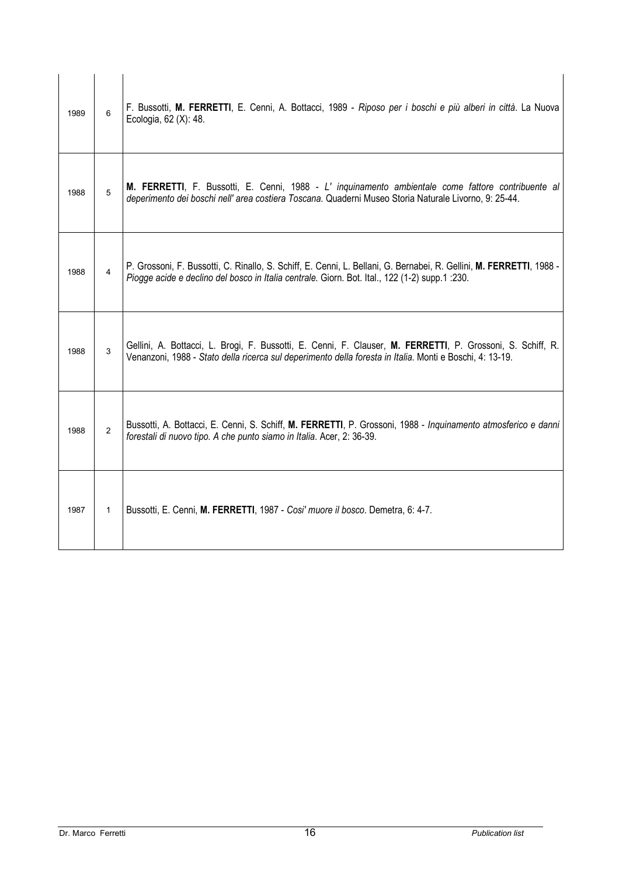| 1989 | 6              | F. Bussotti, M. FERRETTI, E. Cenni, A. Bottacci, 1989 - Riposo per i boschi e più alberi in città. La Nuova<br>Ecologia, 62 (X): 48.                                                                                   |
|------|----------------|------------------------------------------------------------------------------------------------------------------------------------------------------------------------------------------------------------------------|
| 1988 | 5              | M. FERRETTI, F. Bussotti, E. Cenni, 1988 - L' inquinamento ambientale come fattore contribuente al<br>deperimento dei boschi nell' area costiera Toscana. Quaderni Museo Storia Naturale Livorno, 9: 25-44.            |
| 1988 | $\overline{4}$ | P. Grossoni, F. Bussotti, C. Rinallo, S. Schiff, E. Cenni, L. Bellani, G. Bernabei, R. Gellini, M. FERRETTI, 1988 -<br>Piogge acide e declino del bosco in Italia centrale. Giorn. Bot. Ital., 122 (1-2) supp.1 :230.  |
| 1988 | 3              | Gellini, A. Bottacci, L. Brogi, F. Bussotti, E. Cenni, F. Clauser, M. FERRETTI, P. Grossoni, S. Schiff, R.<br>Venanzoni, 1988 - Stato della ricerca sul deperimento della foresta in Italia. Monti e Boschi, 4: 13-19. |
| 1988 | $\overline{2}$ | Bussotti, A. Bottacci, E. Cenni, S. Schiff, M. FERRETTI, P. Grossoni, 1988 - Inquinamento atmosferico e danni<br>forestali di nuovo tipo. A che punto siamo in Italia. Acer, 2: 36-39.                                 |
| 1987 | $\mathbf{1}$   | Bussotti, E. Cenni, M. FERRETTI, 1987 - Cosi' muore il bosco. Demetra, 6: 4-7.                                                                                                                                         |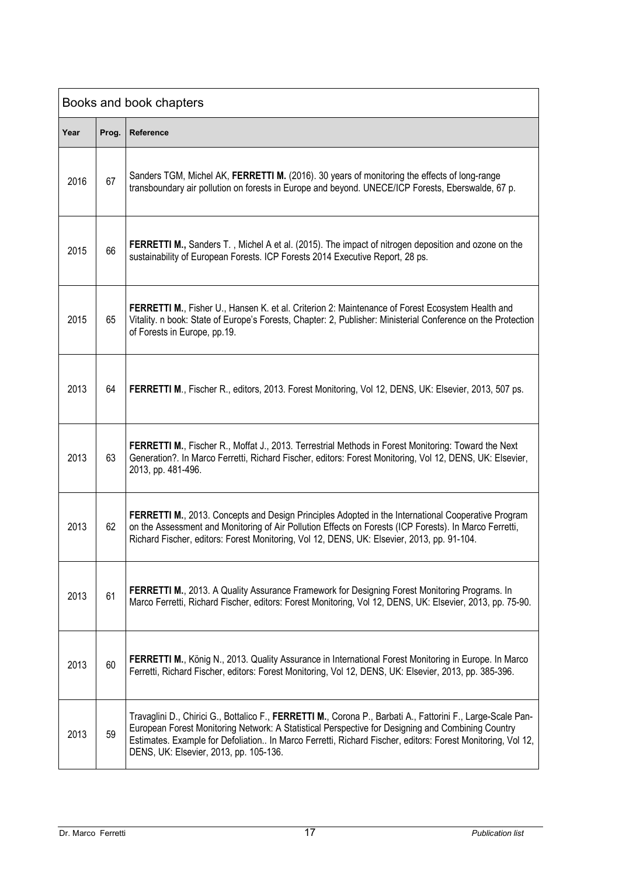| Books and book chapters |       |                                                                                                                                                                                                                                                                                                                                                                          |  |
|-------------------------|-------|--------------------------------------------------------------------------------------------------------------------------------------------------------------------------------------------------------------------------------------------------------------------------------------------------------------------------------------------------------------------------|--|
| Year                    | Prog. | Reference                                                                                                                                                                                                                                                                                                                                                                |  |
| 2016                    | 67    | Sanders TGM, Michel AK, FERRETTI M. (2016). 30 years of monitoring the effects of long-range<br>transboundary air pollution on forests in Europe and beyond. UNECE/ICP Forests, Eberswalde, 67 p.                                                                                                                                                                        |  |
| 2015                    | 66    | FERRETTI M., Sanders T., Michel A et al. (2015). The impact of nitrogen deposition and ozone on the<br>sustainability of European Forests. ICP Forests 2014 Executive Report, 28 ps.                                                                                                                                                                                     |  |
| 2015                    | 65    | FERRETTI M., Fisher U., Hansen K. et al. Criterion 2: Maintenance of Forest Ecosystem Health and<br>Vitality. n book: State of Europe's Forests, Chapter: 2, Publisher: Ministerial Conference on the Protection<br>of Forests in Europe, pp.19.                                                                                                                         |  |
| 2013                    | 64    | FERRETTI M., Fischer R., editors, 2013. Forest Monitoring, Vol 12, DENS, UK: Elsevier, 2013, 507 ps.                                                                                                                                                                                                                                                                     |  |
| 2013                    | 63    | FERRETTI M., Fischer R., Moffat J., 2013. Terrestrial Methods in Forest Monitoring: Toward the Next<br>Generation?. In Marco Ferretti, Richard Fischer, editors: Forest Monitoring, Vol 12, DENS, UK: Elsevier,<br>2013, pp. 481-496.                                                                                                                                    |  |
| 2013                    | 62    | FERRETTI M., 2013. Concepts and Design Principles Adopted in the International Cooperative Program<br>on the Assessment and Monitoring of Air Pollution Effects on Forests (ICP Forests). In Marco Ferretti,<br>Richard Fischer, editors: Forest Monitoring, Vol 12, DENS, UK: Elsevier, 2013, pp. 91-104.                                                               |  |
| 2013                    | 61    | FERRETTI M., 2013. A Quality Assurance Framework for Designing Forest Monitoring Programs. In<br>Marco Ferretti, Richard Fischer, editors: Forest Monitoring, Vol 12, DENS, UK: Elsevier, 2013, pp. 75-90.                                                                                                                                                               |  |
| 2013                    | 60    | FERRETTI M., König N., 2013. Quality Assurance in International Forest Monitoring in Europe. In Marco<br>Ferretti, Richard Fischer, editors: Forest Monitoring, Vol 12, DENS, UK: Elsevier, 2013, pp. 385-396.                                                                                                                                                           |  |
| 2013                    | 59    | Travaglini D., Chirici G., Bottalico F., FERRETTI M., Corona P., Barbati A., Fattorini F., Large-Scale Pan-<br>European Forest Monitoring Network: A Statistical Perspective for Designing and Combining Country<br>Estimates. Example for Defoliation In Marco Ferretti, Richard Fischer, editors: Forest Monitoring, Vol 12,<br>DENS, UK: Elsevier, 2013, pp. 105-136. |  |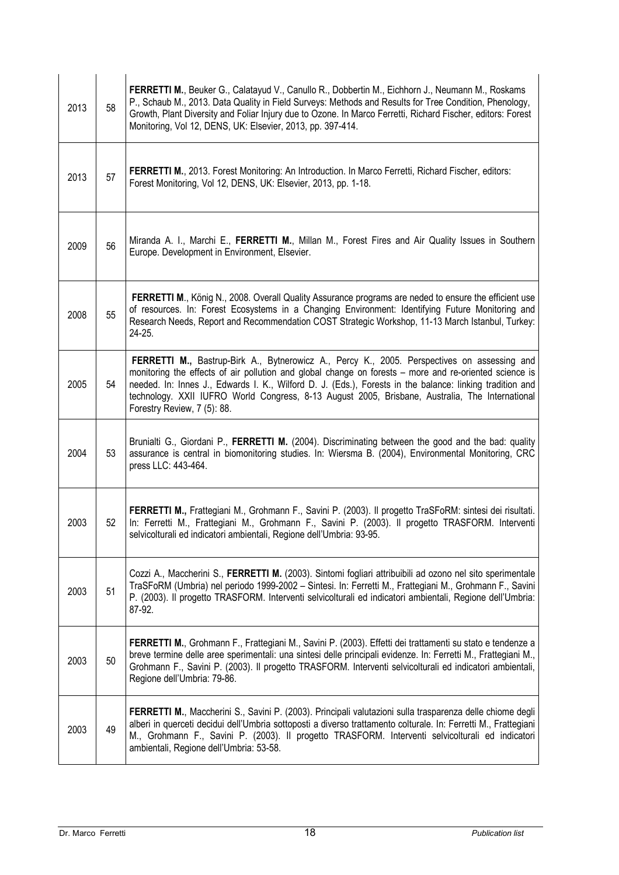| 2013 | 58 | FERRETTI M., Beuker G., Calatayud V., Canullo R., Dobbertin M., Eichhorn J., Neumann M., Roskams<br>P., Schaub M., 2013. Data Quality in Field Surveys: Methods and Results for Tree Condition, Phenology,<br>Growth, Plant Diversity and Foliar Injury due to Ozone. In Marco Ferretti, Richard Fischer, editors: Forest<br>Monitoring, Vol 12, DENS, UK: Elsevier, 2013, pp. 397-414.                                                             |
|------|----|-----------------------------------------------------------------------------------------------------------------------------------------------------------------------------------------------------------------------------------------------------------------------------------------------------------------------------------------------------------------------------------------------------------------------------------------------------|
| 2013 | 57 | FERRETTI M., 2013. Forest Monitoring: An Introduction. In Marco Ferretti, Richard Fischer, editors:<br>Forest Monitoring, Vol 12, DENS, UK: Elsevier, 2013, pp. 1-18.                                                                                                                                                                                                                                                                               |
| 2009 | 56 | Miranda A. I., Marchi E., FERRETTI M., Millan M., Forest Fires and Air Quality Issues in Southern<br>Europe. Development in Environment, Elsevier.                                                                                                                                                                                                                                                                                                  |
| 2008 | 55 | FERRETTI M., König N., 2008. Overall Quality Assurance programs are neded to ensure the efficient use<br>of resources. In: Forest Ecosystems in a Changing Environment: Identifying Future Monitoring and<br>Research Needs, Report and Recommendation COST Strategic Workshop, 11-13 March Istanbul, Turkey:<br>24-25.                                                                                                                             |
| 2005 | 54 | FERRETTI M., Bastrup-Birk A., Bytnerowicz A., Percy K., 2005. Perspectives on assessing and<br>monitoring the effects of air pollution and global change on forests - more and re-oriented science is<br>needed. In: Innes J., Edwards I. K., Wilford D. J. (Eds.), Forests in the balance: linking tradition and<br>technology. XXII IUFRO World Congress, 8-13 August 2005, Brisbane, Australia, The International<br>Forestry Review, 7 (5): 88. |
| 2004 | 53 | Brunialti G., Giordani P., FERRETTI M. (2004). Discriminating between the good and the bad: quality<br>assurance is central in biomonitoring studies. In: Wiersma B. (2004), Environmental Monitoring, CRC<br>press LLC: 443-464.                                                                                                                                                                                                                   |
| 2003 | 52 | FERRETTI M., Frattegiani M., Grohmann F., Savini P. (2003). Il progetto TraSFoRM: sintesi dei risultati.<br>In: Ferretti M., Frattegiani M., Grohmann F., Savini P. (2003). Il progetto TRASFORM. Interventi<br>selvicolturali ed indicatori ambientali, Regione dell'Umbria: 93-95.                                                                                                                                                                |
| 2003 | 51 | Cozzi A., Maccherini S., FERRETTI M. (2003). Sintomi fogliari attribuibili ad ozono nel sito sperimentale<br>TraSFoRM (Umbria) nel periodo 1999-2002 - Sintesi. In: Ferretti M., Frattegiani M., Grohmann F., Savini<br>P. (2003). Il progetto TRASFORM. Interventi selvicolturali ed indicatori ambientali, Regione dell'Umbria:<br>87-92.                                                                                                         |
| 2003 | 50 | FERRETTI M., Grohmann F., Frattegiani M., Savini P. (2003). Effetti dei trattamenti su stato e tendenze a<br>breve termine delle aree sperimentali: una sintesi delle principali evidenze. In: Ferretti M., Frattegiani M.,<br>Grohmann F., Savini P. (2003). Il progetto TRASFORM. Interventi selvicolturali ed indicatori ambientali,<br>Regione dell'Umbria: 79-86.                                                                              |
| 2003 | 49 | FERRETTI M., Maccherini S., Savini P. (2003). Principali valutazioni sulla trasparenza delle chiome degli<br>alberi in querceti decidui dell'Umbria sottoposti a diverso trattamento colturale. In: Ferretti M., Frattegiani<br>M., Grohmann F., Savini P. (2003). Il progetto TRASFORM. Interventi selvicolturali ed indicatori<br>ambientali, Regione dell'Umbria: 53-58.                                                                         |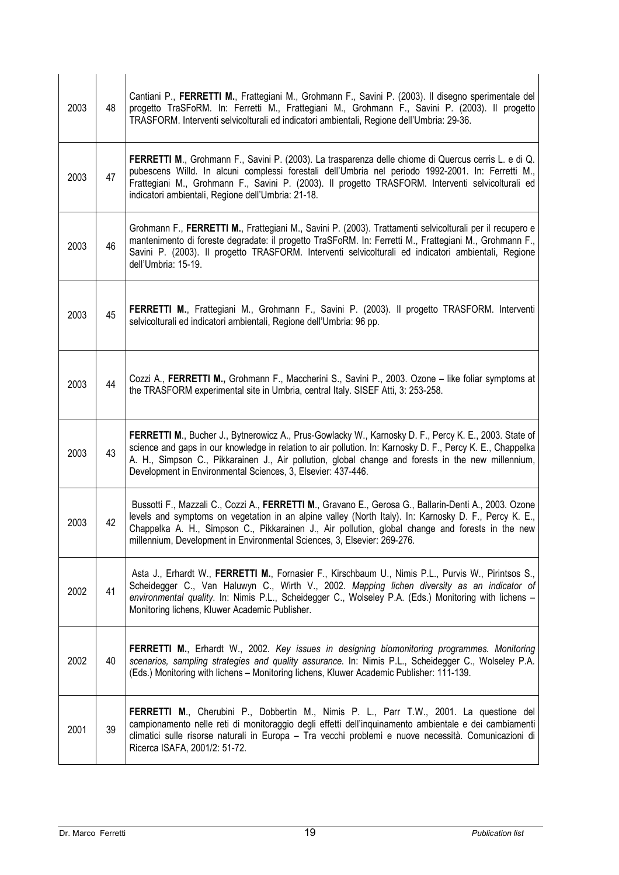| 2003 | 48 | Cantiani P., FERRETTI M., Frattegiani M., Grohmann F., Savini P. (2003). Il disegno sperimentale del<br>progetto TraSFoRM. In: Ferretti M., Frattegiani M., Grohmann F., Savini P. (2003). Il progetto<br>TRASFORM. Interventi selvicolturali ed indicatori ambientali, Regione dell'Umbria: 29-36.                                                                                            |
|------|----|------------------------------------------------------------------------------------------------------------------------------------------------------------------------------------------------------------------------------------------------------------------------------------------------------------------------------------------------------------------------------------------------|
| 2003 | 47 | FERRETTI M., Grohmann F., Savini P. (2003). La trasparenza delle chiome di Quercus cerris L. e di Q.<br>pubescens Willd. In alcuni complessi forestali dell'Umbria nel periodo 1992-2001. In: Ferretti M.,<br>Frattegiani M., Grohmann F., Savini P. (2003). Il progetto TRASFORM. Interventi selvicolturali ed<br>indicatori ambientali, Regione dell'Umbria: 21-18.                          |
| 2003 | 46 | Grohmann F., FERRETTI M., Frattegiani M., Savini P. (2003). Trattamenti selvicolturali per il recupero e<br>mantenimento di foreste degradate: il progetto TraSFoRM. In: Ferretti M., Frattegiani M., Grohmann F.,<br>Savini P. (2003). Il progetto TRASFORM. Interventi selvicolturali ed indicatori ambientali, Regione<br>dell'Umbria: 15-19.                                               |
| 2003 | 45 | FERRETTI M., Frattegiani M., Grohmann F., Savini P. (2003). Il progetto TRASFORM. Interventi<br>selvicolturali ed indicatori ambientali, Regione dell'Umbria: 96 pp.                                                                                                                                                                                                                           |
| 2003 | 44 | Cozzi A., FERRETTI M., Grohmann F., Maccherini S., Savini P., 2003. Ozone - like foliar symptoms at<br>the TRASFORM experimental site in Umbria, central Italy. SISEF Atti, 3: 253-258.                                                                                                                                                                                                        |
| 2003 | 43 | FERRETTI M., Bucher J., Bytnerowicz A., Prus-Gowlacky W., Karnosky D. F., Percy K. E., 2003. State of<br>science and gaps in our knowledge in relation to air pollution. In: Karnosky D. F., Percy K. E., Chappelka<br>A. H., Simpson C., Pikkarainen J., Air pollution, global change and forests in the new millennium,<br>Development in Environmental Sciences, 3, Elsevier: 437-446.      |
| 2003 | 42 | Bussotti F., Mazzali C., Cozzi A., FERRETTI M., Gravano E., Gerosa G., Ballarin-Denti A., 2003. Ozone<br>levels and symptoms on vegetation in an alpine valley (North Italy). In: Karnosky D. F., Percy K. E.,<br>Chappelka A. H., Simpson C., Pikkarainen J., Air pollution, global change and forests in the new<br>millennium, Development in Environmental Sciences, 3, Elsevier: 269-276. |
| 2002 | 41 | Asta J., Erhardt W., FERRETTI M., Fornasier F., Kirschbaum U., Nimis P.L., Purvis W., Pirintsos S.,<br>Scheidegger C., Van Haluwyn C., Wirth V., 2002. Mapping lichen diversity as an indicator of<br>environmental quality. In: Nimis P.L., Scheidegger C., Wolseley P.A. (Eds.) Monitoring with lichens -<br>Monitoring lichens, Kluwer Academic Publisher.                                  |
| 2002 | 40 | FERRETTI M., Erhardt W., 2002. Key issues in designing biomonitoring programmes. Monitoring<br>scenarios, sampling strategies and quality assurance. In: Nimis P.L., Scheidegger C., Wolseley P.A.<br>(Eds.) Monitoring with lichens - Monitoring lichens, Kluwer Academic Publisher: 111-139.                                                                                                 |
| 2001 | 39 | <b>FERRETTI M., Cherubini P., Dobbertin M., Nimis P. L., Parr T.W., 2001. La questione del</b><br>campionamento nelle reti di monitoraggio degli effetti dell'inquinamento ambientale e dei cambiamenti<br>climatici sulle risorse naturali in Europa - Tra vecchi problemi e nuove necessità. Comunicazioni di<br>Ricerca ISAFA, 2001/2: 51-72.                                               |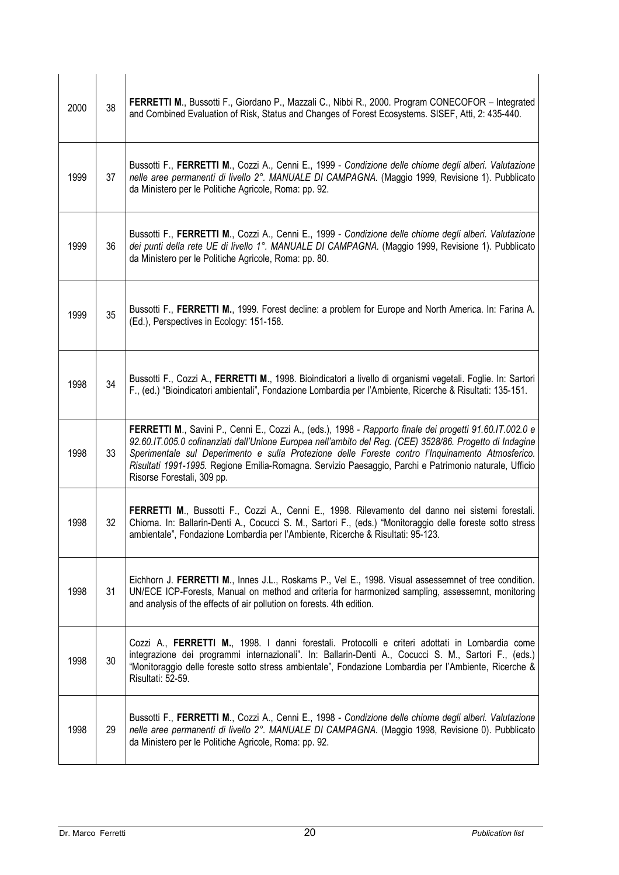| 2000 | 38 | FERRETTI M., Bussotti F., Giordano P., Mazzali C., Nibbi R., 2000. Program CONECOFOR - Integrated<br>and Combined Evaluation of Risk, Status and Changes of Forest Ecosystems. SISEF, Atti, 2: 435-440.                                                                                                                                                                                                                                                          |
|------|----|------------------------------------------------------------------------------------------------------------------------------------------------------------------------------------------------------------------------------------------------------------------------------------------------------------------------------------------------------------------------------------------------------------------------------------------------------------------|
| 1999 | 37 | Bussotti F., FERRETTI M., Cozzi A., Cenni E., 1999 - Condizione delle chiome degli alberi. Valutazione<br>nelle aree permanenti di livello 2°. MANUALE DI CAMPAGNA. (Maggio 1999, Revisione 1). Pubblicato<br>da Ministero per le Politiche Agricole, Roma: pp. 92.                                                                                                                                                                                              |
| 1999 | 36 | Bussotti F., FERRETTI M., Cozzi A., Cenni E., 1999 - Condizione delle chiome degli alberi. Valutazione<br>dei punti della rete UE di livello 1°. MANUALE DI CAMPAGNA. (Maggio 1999, Revisione 1). Pubblicato<br>da Ministero per le Politiche Agricole, Roma: pp. 80.                                                                                                                                                                                            |
| 1999 | 35 | Bussotti F., FERRETTI M., 1999. Forest decline: a problem for Europe and North America. In: Farina A.<br>(Ed.), Perspectives in Ecology: 151-158.                                                                                                                                                                                                                                                                                                                |
| 1998 | 34 | Bussotti F., Cozzi A., FERRETTI M., 1998. Bioindicatori a livello di organismi vegetali. Foglie. In: Sartori<br>F., (ed.) "Bioindicatori ambientali", Fondazione Lombardia per l'Ambiente, Ricerche & Risultati: 135-151.                                                                                                                                                                                                                                        |
| 1998 | 33 | FERRETTI M., Savini P., Cenni E., Cozzi A., (eds.), 1998 - Rapporto finale dei progetti 91.60.IT.002.0 e<br>92.60.IT.005.0 cofinanziati dall'Unione Europea nell'ambito del Reg. (CEE) 3528/86. Progetto di Indagine<br>Sperimentale sul Deperimento e sulla Protezione delle Foreste contro l'Inquinamento Atmosferico.<br>Risultati 1991-1995. Regione Emilia-Romagna. Servizio Paesaggio, Parchi e Patrimonio naturale, Ufficio<br>Risorse Forestali, 309 pp. |
| 1998 | 32 | FERRETTI M., Bussotti F., Cozzi A., Cenni E., 1998. Rilevamento del danno nei sistemi forestali.<br>Chioma. In: Ballarin-Denti A., Cocucci S. M., Sartori F., (eds.) "Monitoraggio delle foreste sotto stress<br>ambientale", Fondazione Lombardia per l'Ambiente, Ricerche & Risultati: 95-123.                                                                                                                                                                 |
| 1998 | 31 | Eichhorn J. FERRETTI M., Innes J.L., Roskams P., Vel E., 1998. Visual assessemnet of tree condition.<br>UN/ECE ICP-Forests, Manual on method and criteria for harmonized sampling, assessemnt, monitoring<br>and analysis of the effects of air pollution on forests. 4th edition.                                                                                                                                                                               |
| 1998 | 30 | Cozzi A., FERRETTI M., 1998. I danni forestali. Protocolli e criteri adottati in Lombardia come<br>integrazione dei programmi internazionali". In: Ballarin-Denti A., Cocucci S. M., Sartori F., (eds.)<br>"Monitoraggio delle foreste sotto stress ambientale", Fondazione Lombardia per l'Ambiente, Ricerche &<br>Risultati: 52-59.                                                                                                                            |
| 1998 | 29 | Bussotti F., FERRETTI M., Cozzi A., Cenni E., 1998 - Condizione delle chiome degli alberi. Valutazione<br>nelle aree permanenti di livello 2°. MANUALE DI CAMPAGNA. (Maggio 1998, Revisione 0). Pubblicato<br>da Ministero per le Politiche Agricole, Roma: pp. 92.                                                                                                                                                                                              |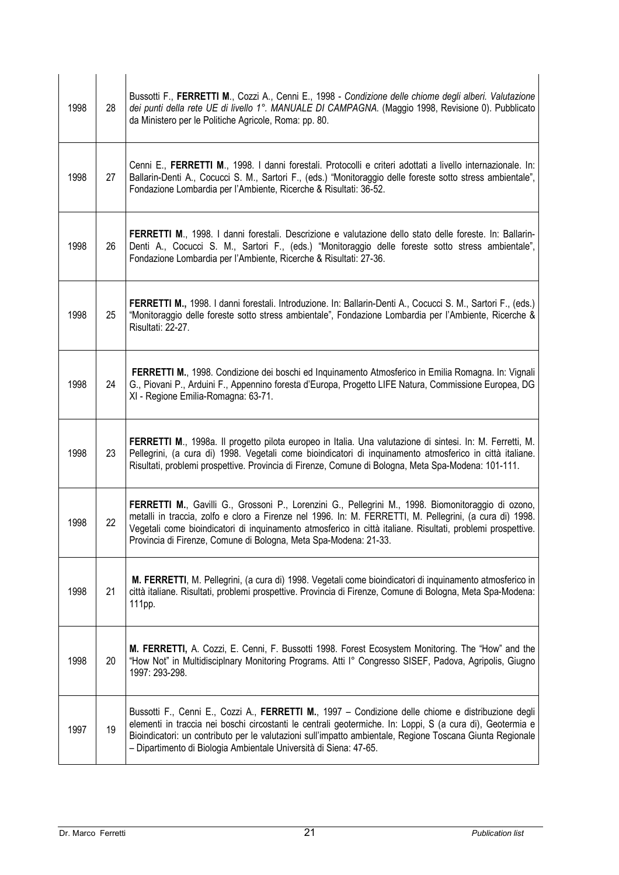| 1998 | 28 | Bussotti F., FERRETTI M., Cozzi A., Cenni E., 1998 - Condizione delle chiome degli alberi. Valutazione<br>dei punti della rete UE di livello 1°. MANUALE DI CAMPAGNA. (Maggio 1998, Revisione 0). Pubblicato<br>da Ministero per le Politiche Agricole, Roma: pp. 80.                                                                                                                             |
|------|----|---------------------------------------------------------------------------------------------------------------------------------------------------------------------------------------------------------------------------------------------------------------------------------------------------------------------------------------------------------------------------------------------------|
| 1998 | 27 | Cenni E., FERRETTI M., 1998. I danni forestali. Protocolli e criteri adottati a livello internazionale. In:<br>Ballarin-Denti A., Cocucci S. M., Sartori F., (eds.) "Monitoraggio delle foreste sotto stress ambientale",<br>Fondazione Lombardia per l'Ambiente, Ricerche & Risultati: 36-52.                                                                                                    |
| 1998 | 26 | FERRETTI M., 1998. I danni forestali. Descrizione e valutazione dello stato delle foreste. In: Ballarin-<br>Denti A., Cocucci S. M., Sartori F., (eds.) "Monitoraggio delle foreste sotto stress ambientale",<br>Fondazione Lombardia per l'Ambiente, Ricerche & Risultati: 27-36.                                                                                                                |
| 1998 | 25 | FERRETTI M., 1998. I danni forestali. Introduzione. In: Ballarin-Denti A., Cocucci S. M., Sartori F., (eds.)<br>"Monitoraggio delle foreste sotto stress ambientale", Fondazione Lombardia per l'Ambiente, Ricerche &<br>Risultati: 22-27.                                                                                                                                                        |
| 1998 | 24 | FERRETTI M., 1998. Condizione dei boschi ed Inquinamento Atmosferico in Emilia Romagna. In: Vignali<br>G., Piovani P., Arduini F., Appennino foresta d'Europa, Progetto LIFE Natura, Commissione Europea, DG<br>XI - Regione Emilia-Romagna: 63-71.                                                                                                                                               |
| 1998 | 23 | FERRETTI M., 1998a. Il progetto pilota europeo in Italia. Una valutazione di sintesi. In: M. Ferretti, M.<br>Pellegrini, (a cura di) 1998. Vegetali come bioindicatori di inquinamento atmosferico in città italiane.<br>Risultati, problemi prospettive. Provincia di Firenze, Comune di Bologna, Meta Spa-Modena: 101-111.                                                                      |
| 1998 | 22 | FERRETTI M., Gavilli G., Grossoni P., Lorenzini G., Pellegrini M., 1998. Biomonitoraggio di ozono,<br>metalli in traccia, zolfo e cloro a Firenze nel 1996. In: M. FERRETTI, M. Pellegrini, (a cura di) 1998.<br>Vegetali come bioindicatori di inquinamento atmosferico in città italiane. Risultati, problemi prospettive.<br>Provincia di Firenze, Comune di Bologna, Meta Spa-Modena: 21-33.  |
| 1998 | 21 | M. FERRETTI, M. Pellegrini, (a cura di) 1998. Vegetali come bioindicatori di inquinamento atmosferico in<br>città italiane. Risultati, problemi prospettive. Provincia di Firenze, Comune di Bologna, Meta Spa-Modena:<br>111pp.                                                                                                                                                                  |
| 1998 | 20 | M. FERRETTI, A. Cozzi, E. Cenni, F. Bussotti 1998. Forest Ecosystem Monitoring. The "How" and the<br>"How Not" in Multidisciplnary Monitoring Programs. Atti I° Congresso SISEF, Padova, Agripolis, Giugno<br>1997: 293-298.                                                                                                                                                                      |
| 1997 | 19 | Bussotti F., Cenni E., Cozzi A., FERRETTI M., 1997 - Condizione delle chiome e distribuzione degli<br>elementi in traccia nei boschi circostanti le centrali geotermiche. In: Loppi, S (a cura di), Geotermia e<br>Bioindicatori: un contributo per le valutazioni sull'impatto ambientale, Regione Toscana Giunta Regionale<br>- Dipartimento di Biologia Ambientale Università di Siena: 47-65. |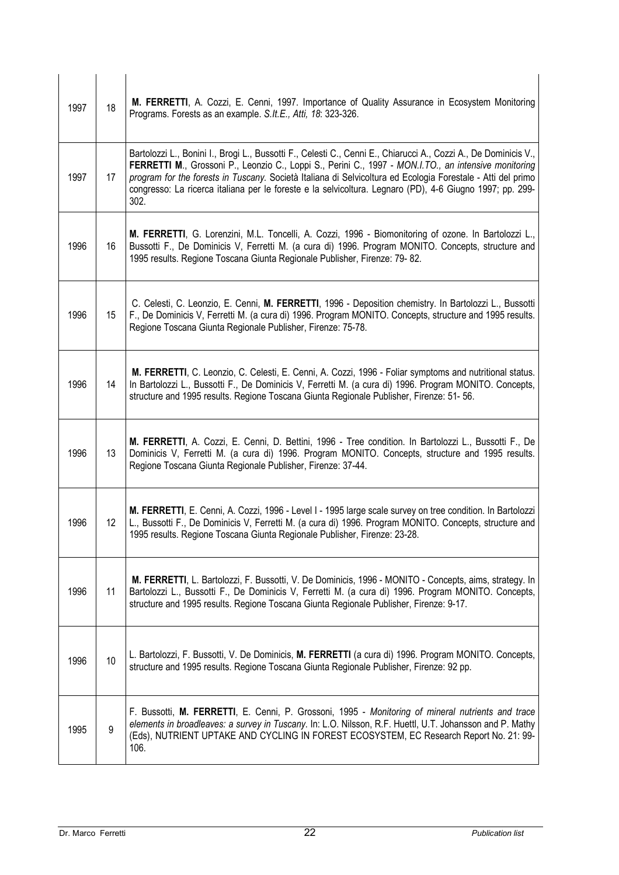| 1997 | 18              | M. FERRETTI, A. Cozzi, E. Cenni, 1997. Importance of Quality Assurance in Ecosystem Monitoring<br>Programs. Forests as an example. S.It.E., Atti, 18: 323-326.                                                                                                                                                                                                                                                                                             |
|------|-----------------|------------------------------------------------------------------------------------------------------------------------------------------------------------------------------------------------------------------------------------------------------------------------------------------------------------------------------------------------------------------------------------------------------------------------------------------------------------|
| 1997 | 17              | Bartolozzi L., Bonini I., Brogi L., Bussotti F., Celesti C., Cenni E., Chiarucci A., Cozzi A., De Dominicis V.,<br>FERRETTI M., Grossoni P., Leonzio C., Loppi S., Perini C., 1997 - MON.I.TO., an intensive monitoring<br>program for the forests in Tuscany. Società Italiana di Selvicoltura ed Ecologia Forestale - Atti del primo<br>congresso: La ricerca italiana per le foreste e la selvicoltura. Legnaro (PD), 4-6 Giugno 1997; pp. 299-<br>302. |
| 1996 | 16              | M. FERRETTI, G. Lorenzini, M.L. Toncelli, A. Cozzi, 1996 - Biomonitoring of ozone. In Bartolozzi L.,<br>Bussotti F., De Dominicis V, Ferretti M. (a cura di) 1996. Program MONITO. Concepts, structure and<br>1995 results. Regione Toscana Giunta Regionale Publisher, Firenze: 79-82.                                                                                                                                                                    |
| 1996 | 15              | C. Celesti, C. Leonzio, E. Cenni, M. FERRETTI, 1996 - Deposition chemistry. In Bartolozzi L., Bussotti<br>F., De Dominicis V, Ferretti M. (a cura di) 1996. Program MONITO. Concepts, structure and 1995 results.<br>Regione Toscana Giunta Regionale Publisher, Firenze: 75-78.                                                                                                                                                                           |
| 1996 | 14              | M. FERRETTI, C. Leonzio, C. Celesti, E. Cenni, A. Cozzi, 1996 - Foliar symptoms and nutritional status.<br>In Bartolozzi L., Bussotti F., De Dominicis V, Ferretti M. (a cura di) 1996. Program MONITO. Concepts,<br>structure and 1995 results. Regione Toscana Giunta Regionale Publisher, Firenze: 51-56.                                                                                                                                               |
| 1996 | 13              | M. FERRETTI, A. Cozzi, E. Cenni, D. Bettini, 1996 - Tree condition. In Bartolozzi L., Bussotti F., De<br>Dominicis V, Ferretti M. (a cura di) 1996. Program MONITO. Concepts, structure and 1995 results.<br>Regione Toscana Giunta Regionale Publisher, Firenze: 37-44.                                                                                                                                                                                   |
| 1996 | 12 <sup>°</sup> | M. FERRETTI, E. Cenni, A. Cozzi, 1996 - Level I - 1995 large scale survey on tree condition. In Bartolozzi<br>L., Bussotti F., De Dominicis V, Ferretti M. (a cura di) 1996. Program MONITO. Concepts, structure and<br>1995 results. Regione Toscana Giunta Regionale Publisher, Firenze: 23-28.                                                                                                                                                          |
| 1996 | 11              | M. FERRETTI, L. Bartolozzi, F. Bussotti, V. De Dominicis, 1996 - MONITO - Concepts, aims, strategy. In<br>Bartolozzi L., Bussotti F., De Dominicis V, Ferretti M. (a cura di) 1996. Program MONITO. Concepts,<br>structure and 1995 results. Regione Toscana Giunta Regionale Publisher, Firenze: 9-17.                                                                                                                                                    |
| 1996 | 10              | L. Bartolozzi, F. Bussotti, V. De Dominicis, M. FERRETTI (a cura di) 1996. Program MONITO. Concepts,<br>structure and 1995 results. Regione Toscana Giunta Regionale Publisher, Firenze: 92 pp.                                                                                                                                                                                                                                                            |
| 1995 | 9               | F. Bussotti, M. FERRETTI, E. Cenni, P. Grossoni, 1995 - Monitoring of mineral nutrients and trace<br>elements in broadleaves: a survey in Tuscany. In: L.O. Nilsson, R.F. Huettl, U.T. Johansson and P. Mathy<br>(Eds), NUTRIENT UPTAKE AND CYCLING IN FOREST ECOSYSTEM, EC Research Report No. 21: 99-<br>106.                                                                                                                                            |